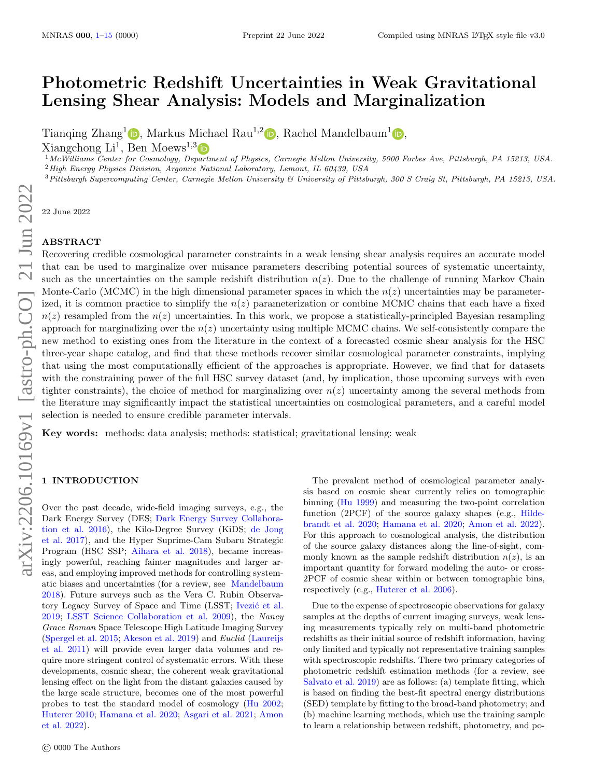# Photometric Redshift Uncertainties in Weak Gravitational Lensing Shear Analysis: Models and Marginalization

Tianqing Zhang<sup>[1](https://orcid.org/0000-0003-2271-1527)</sup> (b)[,](https://orcid.org/https://orcid.org/0000-0003-3709-1324) Markus Michael Rau<sup>1,2</sup> (b), Rachel Mandelbaum<sup>1</sup> (b),

 $\text{Xiangchong Li}^1$ , Ben Moews<sup>1,3</sup>

<sup>1</sup>McWilliams Center for Cosmology, De[partm](https://orcid.org/0000-0003-0897-040X)ent of Physics, Carnegie Mellon University, 5000 Forbes Ave, Pittsburgh, PA 15213, USA. <sup>2</sup>High Energy Physics Division, Argonne National Laboratory, Lemont, IL 60439, USA

<sup>3</sup>Pittsburgh Supercomputing Center, Carnegie Mellon University & University of Pittsburgh, 300 S Craig St, Pittsburgh, PA 15213, USA.

22 June 2022

# ABSTRACT

Recovering credible cosmological parameter constraints in a weak lensing shear analysis requires an accurate model that can be used to marginalize over nuisance parameters describing potential sources of systematic uncertainty, such as the uncertainties on the sample redshift distribution  $n(z)$ . Due to the challenge of running Markov Chain Monte-Carlo (MCMC) in the high dimensional parameter spaces in which the  $n(z)$  uncertainties may be parameterized, it is common practice to simplify the  $n(z)$  parameterization or combine MCMC chains that each have a fixed  $n(z)$  resampled from the  $n(z)$  uncertainties. In this work, we propose a statistically-principled Bayesian resampling approach for marginalizing over the  $n(z)$  uncertainty using multiple MCMC chains. We self-consistently compare the new method to existing ones from the literature in the context of a forecasted cosmic shear analysis for the HSC three-year shape catalog, and find that these methods recover similar cosmological parameter constraints, implying that using the most computationally efficient of the approaches is appropriate. However, we find that for datasets with the constraining power of the full HSC survey dataset (and, by implication, those upcoming surveys with even tighter constraints), the choice of method for marginalizing over  $n(z)$  uncertainty among the several methods from the literature may significantly impact the statistical uncertainties on cosmological parameters, and a careful model selection is needed to ensure credible parameter intervals.

Key words: methods: data analysis; methods: statistical; gravitational lensing: weak

# <span id="page-0-0"></span>1 INTRODUCTION

Over the past decade, wide-field imaging surveys, e.g., the Dark Energy Survey (DES; [Dark Energy Survey Collabora](#page-13-0)[tion et al.](#page-13-0) [2016\)](#page-13-0), the Kilo-Degree Survey (KiDS; [de Jong](#page-14-0) [et al.](#page-14-0) [2017\)](#page-14-0), and the Hyper Suprime-Cam Subaru Strategic Program (HSC SSP; [Aihara et al.](#page-13-1) [2018\)](#page-13-1), became increasingly powerful, reaching fainter magnitudes and larger areas, and employing improved methods for controlling systematic biases and uncertainties (for a review, see [Mandelbaum](#page-13-2) [2018\)](#page-13-2). Future surveys such as the Vera C. Rubin Observatory Legacy Survey of Space and Time (LSST; Ivezić et al. [2019;](#page-13-3) [LSST Science Collaboration et al.](#page-13-4) [2009\)](#page-13-4), the Nancy Grace Roman Space Telescope High Latitude Imaging Survey [\(Spergel et al.](#page-14-1) [2015;](#page-14-1) [Akeson et al.](#page-13-5) [2019\)](#page-13-5) and Euclid [\(Laureijs](#page-13-6) [et al.](#page-13-6) [2011\)](#page-13-6) will provide even larger data volumes and require more stringent control of systematic errors. With these developments, cosmic shear, the coherent weak gravitational lensing effect on the light from the distant galaxies caused by the large scale structure, becomes one of the most powerful probes to test the standard model of cosmology [\(Hu](#page-13-7) [2002;](#page-13-7) [Huterer](#page-13-8) [2010;](#page-13-8) [Hamana et al.](#page-13-9) [2020;](#page-13-9) [Asgari et al.](#page-13-10) [2021;](#page-13-10) [Amon](#page-13-11) [et al.](#page-13-11) [2022\)](#page-13-11).

The prevalent method of cosmological parameter analysis based on cosmic shear currently relies on tomographic binning [\(Hu](#page-13-12) [1999\)](#page-13-12) and measuring the two-point correlation function (2PCF) of the source galaxy shapes (e.g., [Hilde](#page-13-13)[brandt et al.](#page-13-13) [2020;](#page-13-13) [Hamana et al.](#page-13-9) [2020;](#page-13-9) [Amon et al.](#page-13-11) [2022\)](#page-13-11). For this approach to cosmological analysis, the distribution of the source galaxy distances along the line-of-sight, commonly known as the sample redshift distribution  $n(z)$ , is an important quantity for forward modeling the auto- or cross-2PCF of cosmic shear within or between tomographic bins, respectively (e.g., [Huterer et al.](#page-13-14) [2006\)](#page-13-14).

Due to the expense of spectroscopic observations for galaxy samples at the depths of current imaging surveys, weak lensing measurements typically rely on multi-band photometric redshifts as their initial source of redshift information, having only limited and typically not representative training samples with spectroscopic redshifts. There two primary categories of photometric redshift estimation methods (for a review, see [Salvato et al.](#page-14-2) [2019\)](#page-14-2) are as follows: (a) template fitting, which is based on finding the best-fit spectral energy distributions (SED) template by fitting to the broad-band photometry; and (b) machine learning methods, which use the training sample to learn a relationship between redshift, photometry, and po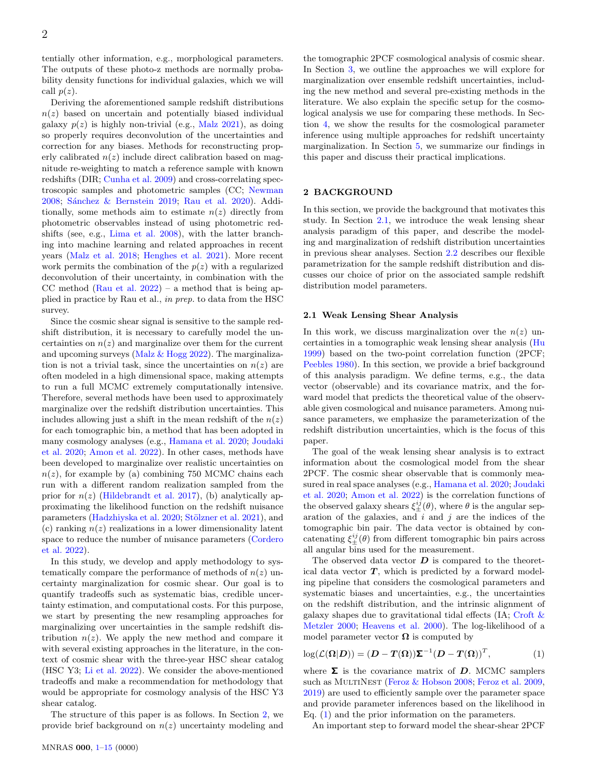tentially other information, e.g., morphological parameters. The outputs of these photo-z methods are normally probability density functions for individual galaxies, which we will call  $p(z)$ .

Deriving the aforementioned sample redshift distributions  $n(z)$  based on uncertain and potentially biased individual galaxy  $p(z)$  is highly non-trivial (e.g., [Malz](#page-13-15) [2021\)](#page-13-15), as doing so properly requires deconvolution of the uncertainties and correction for any biases. Methods for reconstructing properly calibrated  $n(z)$  include direct calibration based on magnitude re-weighting to match a reference sample with known redshifts (DIR; [Cunha et al.](#page-13-16) [2009\)](#page-13-16) and cross-correlating spectroscopic samples and photometric samples (CC; [Newman](#page-13-17) [2008;](#page-13-17) Sánchez & Bernstein [2019;](#page-14-3) [Rau et al.](#page-13-18) [2020\)](#page-13-18). Additionally, some methods aim to estimate  $n(z)$  directly from photometric observables instead of using photometric redshifts (see, e.g., [Lima et al.](#page-13-19) [2008\)](#page-13-19), with the latter branching into machine learning and related approaches in recent years [\(Malz et al.](#page-13-20) [2018;](#page-13-20) [Henghes et al.](#page-13-21) [2021\)](#page-13-21). More recent work permits the combination of the  $p(z)$  with a regularized deconvolution of their uncertainty, in combination with the CC method [\(Rau et al.](#page-13-22)  $2022$ ) – a method that is being applied in practice by Rau et al., in prep. to data from the HSC survey.

Since the cosmic shear signal is sensitive to the sample redshift distribution, it is necessary to carefully model the uncertainties on  $n(z)$  and marginalize over them for the current and upcoming surveys (Malz  $&$  Hogg [2022\)](#page-13-23). The marginalization is not a trivial task, since the uncertainties on  $n(z)$  are often modeled in a high dimensional space, making attempts to run a full MCMC extremely computationally intensive. Therefore, several methods have been used to approximately marginalize over the redshift distribution uncertainties. This includes allowing just a shift in the mean redshift of the  $n(z)$ for each tomographic bin, a method that has been adopted in many cosmology analyses (e.g., [Hamana et al.](#page-13-9) [2020;](#page-13-9) [Joudaki](#page-13-24) [et al.](#page-13-24) [2020;](#page-13-24) [Amon et al.](#page-13-11) [2022\)](#page-13-11). In other cases, methods have been developed to marginalize over realistic uncertainties on  $n(z)$ , for example by (a) combining 750 MCMC chains each run with a different random realization sampled from the prior for  $n(z)$  [\(Hildebrandt et al.](#page-13-25) [2017\)](#page-13-25), (b) analytically approximating the likelihood function on the redshift nuisance parameters [\(Hadzhiyska et al.](#page-13-26) [2020;](#page-13-26) Stölzner et al. [2021\)](#page-14-4), and (c) ranking  $n(z)$  realizations in a lower dimensionality latent space to reduce the number of nuisance parameters [\(Cordero](#page-13-27) [et al.](#page-13-27) [2022\)](#page-13-27).

In this study, we develop and apply methodology to systematically compare the performance of methods of  $n(z)$  uncertainty marginalization for cosmic shear. Our goal is to quantify tradeoffs such as systematic bias, credible uncertainty estimation, and computational costs. For this purpose, we start by presenting the new resampling approaches for marginalizing over uncertainties in the sample redshift distribution  $n(z)$ . We apply the new method and compare it with several existing approaches in the literature, in the context of cosmic shear with the three-year HSC shear catalog (HSC Y3; [Li et al.](#page-13-28) [2022\)](#page-13-28). We consider the above-mentioned tradeoffs and make a recommendation for methodology that would be appropriate for cosmology analysis of the HSC Y3 shear catalog.

The structure of this paper is as follows. In Section [2,](#page-1-0) we provide brief background on  $n(z)$  uncertainty modeling and

In this section, we provide the background that motivates this study. In Section [2.1,](#page-1-1) we introduce the weak lensing shear analysis paradigm of this paper, and describe the modeling and marginalization of redshift distribution uncertainties in previous shear analyses. Section [2.2](#page-2-0) describes our flexible parametrization for the sample redshift distribution and discusses our choice of prior on the associated sample redshift distribution model parameters.

<span id="page-1-0"></span>2 BACKGROUND

#### <span id="page-1-1"></span>2.1 Weak Lensing Shear Analysis

In this work, we discuss marginalization over the  $n(z)$  uncertainties in a tomographic weak lensing shear analysis [\(Hu](#page-13-12) [1999\)](#page-13-12) based on the two-point correlation function (2PCF; [Peebles](#page-13-29) [1980\)](#page-13-29). In this section, we provide a brief background of this analysis paradigm. We define terms, e.g., the data vector (observable) and its covariance matrix, and the forward model that predicts the theoretical value of the observable given cosmological and nuisance parameters. Among nuisance parameters, we emphasize the parameterization of the redshift distribution uncertainties, which is the focus of this paper.

the tomographic 2PCF cosmological analysis of cosmic shear. In Section [3,](#page-3-0) we outline the approaches we will explore for marginalization over ensemble redshift uncertainties, including the new method and several pre-existing methods in the literature. We also explain the specific setup for the cosmological analysis we use for comparing these methods. In Section [4,](#page-8-0) we show the results for the cosmological parameter inference using multiple approaches for redshift uncertainty marginalization. In Section [5,](#page-12-0) we summarize our findings in

this paper and discuss their practical implications.

The goal of the weak lensing shear analysis is to extract information about the cosmological model from the shear 2PCF. The cosmic shear observable that is commonly measured in real space analyses (e.g., [Hamana et al.](#page-13-9) [2020;](#page-13-9) [Joudaki](#page-13-24) [et al.](#page-13-24) [2020;](#page-13-24) [Amon et al.](#page-13-11) [2022\)](#page-13-11) is the correlation functions of the observed galaxy shears  $\xi_{\pm}^{i j}(\theta)$ , where  $\theta$  is the angular separation of the galaxies, and  $i$  and  $j$  are the indices of the tomographic bin pair. The data vector is obtained by concatenating  $\xi_{\pm}^{ij}(\theta)$  from different tomographic bin pairs across all angular bins used for the measurement.

The observed data vector  $D$  is compared to the theoretical data vector  $T$ , which is predicted by a forward modeling pipeline that considers the cosmological parameters and systematic biases and uncertainties, e.g., the uncertainties on the redshift distribution, and the intrinsic alignment of galaxy shapes due to gravitational tidal effects (IA; [Croft &](#page-13-30) [Metzler](#page-13-30) [2000;](#page-13-30) [Heavens et al.](#page-13-31) [2000\)](#page-13-31). The log-likelihood of a model parameter vector  $\Omega$  is computed by

<span id="page-1-2"></span>
$$
\log(\mathcal{L}(\Omega|D)) = (D - T(\Omega))\Sigma^{-1}(D - T(\Omega))^T, \tag{1}
$$

where  $\Sigma$  is the covariance matrix of D. MCMC samplers such as MULTINEST [\(Feroz & Hobson](#page-13-32) [2008;](#page-13-32) [Feroz et al.](#page-13-33) [2009,](#page-13-33) [2019\)](#page-13-34) are used to efficiently sample over the parameter space and provide parameter inferences based on the likelihood in Eq. [\(1\)](#page-1-2) and the prior information on the parameters.

An important step to forward model the shear-shear 2PCF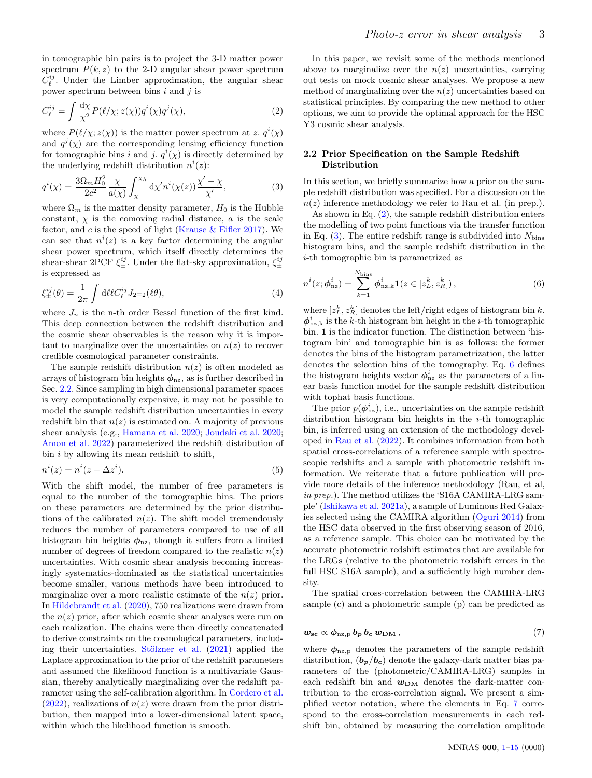in tomographic bin pairs is to project the 3-D matter power spectrum  $P(k, z)$  to the 2-D angular shear power spectrum  $C_{\ell}^{ij}$ . Under the Limber approximation, the angular shear power spectrum between bins  $i$  and  $j$  is

$$
C_{\ell}^{ij} = \int \frac{\mathrm{d}\chi}{\chi^2} P(\ell/\chi; z(\chi)) q^i(\chi) q^j(\chi), \tag{2}
$$

where  $P(\ell/\chi; z(\chi))$  is the matter power spectrum at z.  $q^{i}(\chi)$ and  $q^{j}(\chi)$  are the corresponding lensing efficiency function for tomographic bins i and j.  $q^{i}(\chi)$  is directly determined by the underlying redshift distribution  $n^{i}(z)$ :

$$
q^{i}(\chi) = \frac{3\Omega_m H_0^2}{2c^2} \frac{\chi}{a(\chi)} \int_{\chi}^{\chi_h} d\chi' n^{i}(\chi(z)) \frac{\chi' - \chi}{\chi'}, \tag{3}
$$

where  $\Omega_m$  is the matter density parameter,  $H_0$  is the Hubble constant,  $\chi$  is the comoving radial distance,  $\alpha$  is the scale factor, and  $c$  is the speed of light (Krause  $&$  Eifler [2017\)](#page-13-35). We can see that  $n^{i}(z)$  is a key factor determining the angular shear power spectrum, which itself directly determines the shear-shear 2PCF  $\xi_{\pm}^{ij}$ . Under the flat-sky approximation,  $\xi_{\pm}^{ij}$ is expressed as

<span id="page-2-5"></span>
$$
\xi_{\pm}^{ij}(\theta) = \frac{1}{2\pi} \int d\ell \ell C_{\ell}^{ij} J_{2\mp 2}(\ell \theta), \tag{4}
$$

where  $J_n$  is the n-th order Bessel function of the first kind. This deep connection between the redshift distribution and the cosmic shear observables is the reason why it is important to marginalize over the uncertainties on  $n(z)$  to recover credible cosmological parameter constraints.

The sample redshift distribution  $n(z)$  is often modeled as arrays of histogram bin heights  $\phi_{nz}$ , as is further described in Sec. [2.2.](#page-2-0) Since sampling in high dimensional parameter spaces is very computationally expensive, it may not be possible to model the sample redshift distribution uncertainties in every redshift bin that  $n(z)$  is estimated on. A majority of previous shear analysis (e.g., [Hamana et al.](#page-13-9) [2020;](#page-13-9) [Joudaki et al.](#page-13-24) [2020;](#page-13-24) [Amon et al.](#page-13-11) [2022\)](#page-13-11) parameterized the redshift distribution of bin  $i$  by allowing its mean redshift to shift,

$$
n^{i}(z) = n^{i}(z - \Delta z^{i}).
$$
\n(5)

With the shift model, the number of free parameters is equal to the number of the tomographic bins. The priors on these parameters are determined by the prior distributions of the calibrated  $n(z)$ . The shift model tremendously reduces the number of parameters compared to use of all histogram bin heights  $\phi_{nz}$ , though it suffers from a limited number of degrees of freedom compared to the realistic  $n(z)$ uncertainties. With cosmic shear analysis becoming increasingly systematics-dominated as the statistical uncertainties become smaller, various methods have been introduced to marginalize over a more realistic estimate of the  $n(z)$  prior. In [Hildebrandt et al.](#page-13-13) [\(2020\)](#page-13-13), 750 realizations were drawn from the  $n(z)$  prior, after which cosmic shear analyses were run on each realization. The chains were then directly concatenated to derive constraints on the cosmological parameters, including their uncertainties. Stölzner et al.  $(2021)$  applied the Laplace approximation to the prior of the redshift parameters and assumed the likelihood function is a multivariate Gaussian, thereby analytically marginalizing over the redshift parameter using the self-calibration algorithm. In [Cordero et al.](#page-13-27)  $(2022)$ , realizations of  $n(z)$  were drawn from the prior distribution, then mapped into a lower-dimensional latent space, within which the likelihood function is smooth.

<span id="page-2-1"></span>In this paper, we revisit some of the methods mentioned above to marginalize over the  $n(z)$  uncertainties, carrying out tests on mock cosmic shear analyses. We propose a new method of marginalizing over the  $n(z)$  uncertainties based on statistical principles. By comparing the new method to other options, we aim to provide the optimal approach for the HSC Y3 cosmic shear analysis.

# <span id="page-2-2"></span><span id="page-2-0"></span>2.2 Prior Specification on the Sample Redshift Distribution

In this section, we briefly summarize how a prior on the sample redshift distribution was specified. For a discussion on the  $n(z)$  inference methodology we refer to Rau et al. (in prep.).

As shown in Eq. [\(2\)](#page-2-1), the sample redshift distribution enters the modelling of two point functions via the transfer function in Eq.  $(3)$ . The entire redshift range is subdivided into  $N_{\text{bins}}$ histogram bins, and the sample redshift distribution in the i-th tomographic bin is parametrized as

<span id="page-2-3"></span>
$$
n^{i}(z; \phi_{\text{nz}}^{i}) = \sum_{k=1}^{N_{\text{bins}}} \phi_{\text{nz},k}^{i} \mathbf{1}(z \in [z_{L}^{k}, z_{R}^{k}]), \qquad (6)
$$

where  $[z_L^k, z_R^k]$  denotes the left/right edges of histogram bin k.  $\phi_{\text{nz},k}^i$  is the k-th histogram bin height in the *i*-th tomographic bin. 1 is the indicator function. The distinction between 'histogram bin' and tomographic bin is as follows: the former denotes the bins of the histogram parametrization, the latter denotes the selection bins of the tomography. Eq. [6](#page-2-3) defines the histogram heights vector  $\phi_{nz}^{i}$  as the parameters of a linear basis function model for the sample redshift distribution with tophat basis functions.

<span id="page-2-6"></span>The prior  $p(\phi_{\text{nz}}^i)$ , i.e., uncertainties on the sample redshift distribution histogram bin heights in the  $i$ -th tomographic bin, is inferred using an extension of the methodology developed in [Rau et al.](#page-13-22) [\(2022\)](#page-13-22). It combines information from both spatial cross-correlations of a reference sample with spectroscopic redshifts and a sample with photometric redshift information. We reiterate that a future publication will provide more details of the inference methodology (Rau, et al, in prep.). The method utilizes the 'S16A CAMIRA-LRG sample' [\(Ishikawa et al.](#page-13-36) [2021a\)](#page-13-36), a sample of Luminous Red Galaxies selected using the CAMIRA algorithm [\(Oguri](#page-13-37) [2014\)](#page-13-37) from the HSC data observed in the first observing season of 2016, as a reference sample. This choice can be motivated by the accurate photometric redshift estimates that are available for the LRGs (relative to the photometric redshift errors in the full HSC S16A sample), and a sufficiently high number density.

<span id="page-2-4"></span>The spatial cross-correlation between the CAMIRA-LRG sample (c) and a photometric sample (p) can be predicted as

$$
\mathbf{w}_{\mathbf{sc}} \propto \phi_{\text{nz},p} \, \mathbf{b}_{\mathbf{p}} \, \mathbf{b}_{\mathbf{c}} \, \mathbf{w}_{\mathbf{DM}} \,, \tag{7}
$$

where  $\phi_{\text{nz},p}$  denotes the parameters of the sample redshift distribution,  $(b_p/b_c)$  denote the galaxy-dark matter bias parameters of the (photometric/CAMIRA-LRG) samples in each redshift bin and  $w_{DM}$  denotes the dark-matter contribution to the cross-correlation signal. We present a simplified vector notation, where the elements in Eq. [7](#page-2-4) correspond to the cross-correlation measurements in each redshift bin, obtained by measuring the correlation amplitude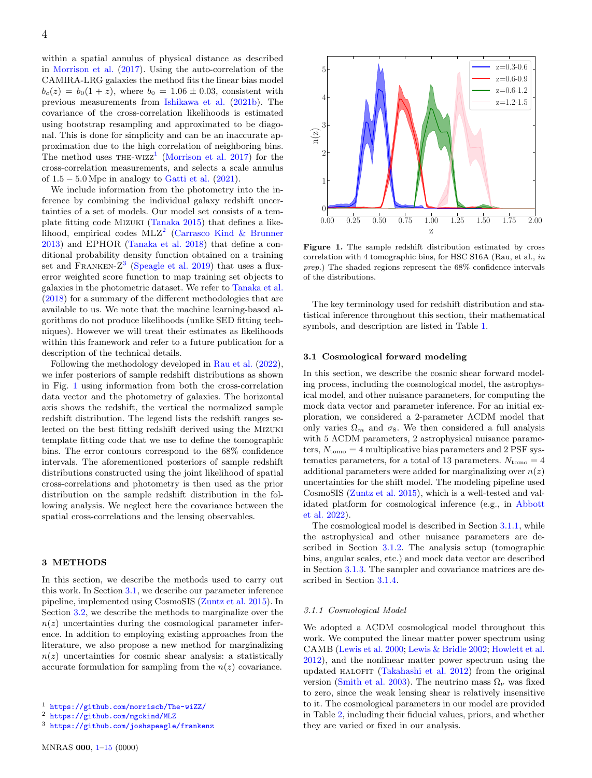within a spatial annulus of physical distance as described in [Morrison et al.](#page-13-38) [\(2017\)](#page-13-38). Using the auto-correlation of the CAMIRA-LRG galaxies the method fits the linear bias model  $b_c(z) = b_0(1+z)$ , where  $b_0 = 1.06 \pm 0.03$ , consistent with previous measurements from [Ishikawa et al.](#page-13-39) [\(2021b\)](#page-13-39). The covariance of the cross-correlation likelihoods is estimated using bootstrap resampling and approximated to be diagonal. This is done for simplicity and can be an inaccurate approximation due to the high correlation of neighboring bins. The method uses  $THE-WIZZ<sup>1</sup>$  $THE-WIZZ<sup>1</sup>$  $THE-WIZZ<sup>1</sup>$  [\(Morrison et al.](#page-13-38) [2017\)](#page-13-38) for the cross-correlation measurements, and selects a scale annulus of  $1.5 - 5.0$  Mpc in analogy to [Gatti et al.](#page-13-40)  $(2021)$ .

We include information from the photometry into the inference by combining the individual galaxy redshift uncertainties of a set of models. Our model set consists of a template fitting code Mizuki [\(Tanaka](#page-14-5) [2015\)](#page-14-5) that defines a likelihood, empirical codes  $MLZ<sup>2</sup>$  $MLZ<sup>2</sup>$  $MLZ<sup>2</sup>$  [\(Carrasco Kind & Brunner](#page-13-41) [2013\)](#page-13-41) and EPHOR [\(Tanaka et al.](#page-14-6) [2018\)](#page-14-6) that define a conditional probability density function obtained on a training set and FRANKEN- $Z^3$  $Z^3$  [\(Speagle et al.](#page-14-7) [2019\)](#page-14-7) that uses a fluxerror weighted score function to map training set objects to galaxies in the photometric dataset. We refer to [Tanaka et al.](#page-14-6) [\(2018\)](#page-14-6) for a summary of the different methodologies that are available to us. We note that the machine learning-based algorithms do not produce likelihoods (unlike SED fitting techniques). However we will treat their estimates as likelihoods within this framework and refer to a future publication for a description of the technical details.

Following the methodology developed in [Rau et al.](#page-13-22) [\(2022\)](#page-13-22), we infer posteriors of sample redshift distributions as shown in Fig. [1](#page-3-4) using information from both the cross-correlation data vector and the photometry of galaxies. The horizontal axis shows the redshift, the vertical the normalized sample redshift distribution. The legend lists the redshift ranges selected on the best fitting redshift derived using the Mizuki template fitting code that we use to define the tomographic bins. The error contours correspond to the 68% confidence intervals. The aforementioned posteriors of sample redshift distributions constructed using the joint likelihood of spatial cross-correlations and photometry is then used as the prior distribution on the sample redshift distribution in the following analysis. We neglect here the covariance between the spatial cross-correlations and the lensing observables.

## <span id="page-3-0"></span>3 METHODS

In this section, we describe the methods used to carry out this work. In Section [3.1,](#page-3-5) we describe our parameter inference pipeline, implemented using CosmoSIS [\(Zuntz et al.](#page-14-8) [2015\)](#page-14-8). In Section [3.2,](#page-5-0) we describe the methods to marginalize over the  $n(z)$  uncertainties during the cosmological parameter inference. In addition to employing existing approaches from the literature, we also propose a new method for marginalizing  $n(z)$  uncertainties for cosmic shear analysis: a statistically accurate formulation for sampling from the  $n(z)$  covariance.

<span id="page-3-4"></span>

Figure 1. The sample redshift distribution estimated by cross correlation with 4 tomographic bins, for HSC S16A (Rau, et al., in prep.) The shaded regions represent the 68% confidence intervals of the distributions.

The key terminology used for redshift distribution and statistical inference throughout this section, their mathematical symbols, and description are listed in Table [1.](#page-4-0)

## <span id="page-3-5"></span>3.1 Cosmological forward modeling

In this section, we describe the cosmic shear forward modeling process, including the cosmological model, the astrophysical model, and other nuisance parameters, for computing the mock data vector and parameter inference. For an initial exploration, we considered a 2-parameter ΛCDM model that only varies  $\Omega_m$  and  $\sigma_8$ . We then considered a full analysis with 5  $\Lambda$ CDM parameters, 2 astrophysical nuisance parameters,  $N_{\text{tomo}} = 4$  multiplicative bias parameters and 2 PSF systematics parameters, for a total of 13 parameters.  $N_{\text{tomo}} = 4$ additional parameters were added for marginalizing over  $n(z)$ uncertainties for the shift model. The modeling pipeline used CosmoSIS [\(Zuntz et al.](#page-14-8) [2015\)](#page-14-8), which is a well-tested and validated platform for cosmological inference (e.g., in [Abbott](#page-13-42) [et al.](#page-13-42) [2022\)](#page-13-42).

The cosmological model is described in Section [3.1.1,](#page-3-6) while the astrophysical and other nuisance parameters are described in Section [3.1.2.](#page-4-1) The analysis setup (tomographic bins, angular scales, etc.) and mock data vector are described in Section [3.1.3.](#page-5-1) The sampler and covariance matrices are described in Section [3.1.4.](#page-5-2)

#### <span id="page-3-6"></span>3.1.1 Cosmological Model

We adopted a ΛCDM cosmological model throughout this work. We computed the linear matter power spectrum using CAMB [\(Lewis et al.](#page-13-43) [2000;](#page-13-43) [Lewis & Bridle](#page-13-44) [2002;](#page-13-44) [Howlett et al.](#page-13-45) [2012\)](#page-13-45), and the nonlinear matter power spectrum using the updated HALOFIT [\(Takahashi et al.](#page-14-9) [2012\)](#page-14-9) from the original version [\(Smith et al.](#page-14-10) [2003\)](#page-14-10). The neutrino mass  $\Omega_{\nu}$  was fixed to zero, since the weak lensing shear is relatively insensitive to it. The cosmological parameters in our model are provided in Table [2,](#page-5-3) including their fiducial values, priors, and whether they are varied or fixed in our analysis.

<span id="page-3-1"></span><sup>1</sup> <https://github.com/morriscb/The-wiZZ/>

<span id="page-3-2"></span><sup>2</sup> <https://github.com/mgckind/MLZ>

<span id="page-3-3"></span><sup>3</sup> <https://github.com/joshspeagle/frankenz>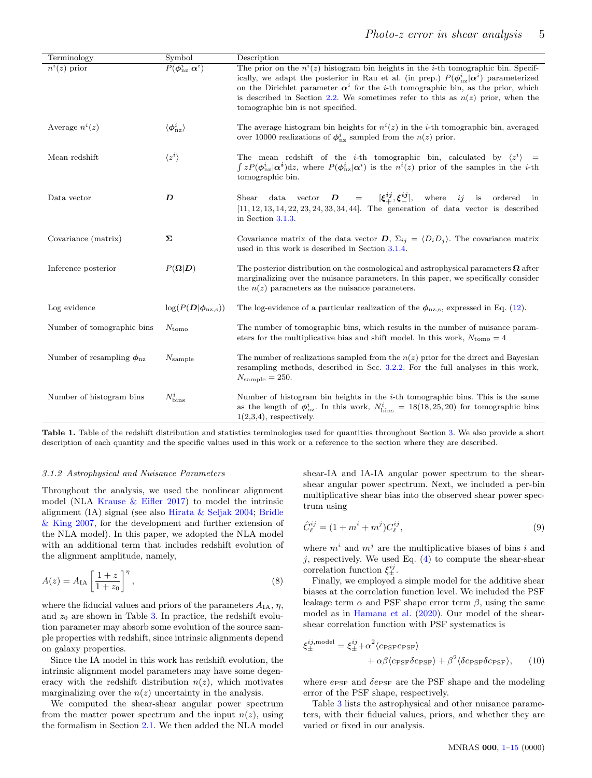<span id="page-4-0"></span>

| Terminology                             | Symbol                             | Description                                                                                                                                                                                                                                                                                                                                                                                                                               |
|-----------------------------------------|------------------------------------|-------------------------------------------------------------------------------------------------------------------------------------------------------------------------------------------------------------------------------------------------------------------------------------------------------------------------------------------------------------------------------------------------------------------------------------------|
| $n^i(z)$ prior                          | $P(\phi_{\text{nz}}^i   \alpha^i)$ | The prior on the $n^{i}(z)$ histogram bin heights in the <i>i</i> -th tomographic bin. Specif-<br>ically, we adapt the posterior in Rau et al. (in prep.) $P(\phi_{\text{nz}}^i   \alpha^i)$ parameterized<br>on the Dirichlet parameter $\alpha^{i}$ for the <i>i</i> -th tomographic bin, as the prior, which<br>is described in Section 2.2. We sometimes refer to this as $n(z)$ prior, when the<br>tomographic bin is not specified. |
| Average $n^i(z)$                        | $\langle \phi^i_\text{nz} \rangle$ | The average histogram bin heights for $n^{i}(z)$ in the <i>i</i> -th tomographic bin, averaged<br>over 10000 realizations of $\phi_{\text{nz}}^i$ sampled from the $n(z)$ prior.                                                                                                                                                                                                                                                          |
| Mean redshift                           | $\langle z^i \rangle$              | The mean redshift of the <i>i</i> -th tomographic bin, calculated by $\langle z^i \rangle$ =<br>$\int z P(\phi_{\text{nz}}^i   \alpha^i) dz$ , where $P(\phi_{\text{nz}}^i   \alpha^i)$ is the $n^i(z)$ prior of the samples in the <i>i</i> -th<br>tomographic bin.                                                                                                                                                                      |
| Data vector                             | D                                  | Shear data vector $D = [\xi^{\dot{i}j}_{+}, \xi^{ij}_{-}],$ where ij is ordered in<br>$[11, 12, 13, 14, 22, 23, 24, 33, 34, 44]$ . The generation of data vector is described<br>in Section $3.1.3$ .                                                                                                                                                                                                                                     |
| Covariance (matrix)                     | Σ                                  | Covariance matrix of the data vector $D$ , $\Sigma_{ij} = \langle D_i D_j \rangle$ . The covariance matrix<br>used in this work is described in Section 3.1.4.                                                                                                                                                                                                                                                                            |
| Inference posterior                     | $P(\mathbf{\Omega} \mathbf{D})$    | The posterior distribution on the cosmological and astrophysical parameters $\Omega$ after<br>marginalizing over the nuisance parameters. In this paper, we specifically consider<br>the $n(z)$ parameters as the nuisance parameters.                                                                                                                                                                                                    |
| Log evidence                            | $\log(P(D \phi_{\text{nz,s}}))$    | The log-evidence of a particular realization of the $\phi_{\text{nz},s}$ , expressed in Eq. (12).                                                                                                                                                                                                                                                                                                                                         |
| Number of tomographic bins              | $N_{\rm tomo}$                     | The number of tomographic bins, which results in the number of nuisance param-<br>eters for the multiplicative bias and shift model. In this work, $N_{\text{tomo}} = 4$                                                                                                                                                                                                                                                                  |
| Number of resampling $\phi_{\text{nz}}$ | $N_{\rm sample}$                   | The number of realizations sampled from the $n(z)$ prior for the direct and Bayesian<br>resampling methods, described in Sec. 3.2.2. For the full analyses in this work,<br>$N_{\rm sample} = 250.$                                                                                                                                                                                                                                       |
| Number of histogram bins                | $N_{\text{bins}}^i$                | Number of histogram bin heights in the $i$ -th tomographic bins. This is the same<br>as the length of $\phi_{\text{nz}}^i$ . In this work, $N_{\text{bins}}^i = 18(18, 25, 20)$ for tomographic bins<br>$1(2,3,4)$ , respectively.                                                                                                                                                                                                        |

Table 1. Table of the redshift distribution and statistics terminologies used for quantities throughout Section [3.](#page-3-0) We also provide a short description of each quantity and the specific values used in this work or a reference to the section where they are described.

## <span id="page-4-1"></span>3.1.2 Astrophysical and Nuisance Parameters

Throughout the analysis, we used the nonlinear alignment model (NLA Krause  $\&$  Eifler [2017\)](#page-13-35) to model the intrinsic alignment (IA) signal (see also [Hirata & Seljak](#page-13-46) [2004;](#page-13-46) [Bridle](#page-13-47) [& King](#page-13-47) [2007,](#page-13-47) for the development and further extension of the NLA model). In this paper, we adopted the NLA model with an additional term that includes redshift evolution of the alignment amplitude, namely,

$$
A(z) = A_{\text{IA}} \left[ \frac{1+z}{1+z_0} \right]^{\eta},\tag{8}
$$

where the fiducial values and priors of the parameters  $A_{IA}$ ,  $\eta$ , and  $z_0$  are shown in Table [3.](#page-5-4) In practice, the redshift evolution parameter may absorb some evolution of the source sample properties with redshift, since intrinsic alignments depend on galaxy properties.

Since the IA model in this work has redshift evolution, the intrinsic alignment model parameters may have some degeneracy with the redshift distribution  $n(z)$ , which motivates marginalizing over the  $n(z)$  uncertainty in the analysis.

We computed the shear-shear angular power spectrum from the matter power spectrum and the input  $n(z)$ , using the formalism in Section [2.1.](#page-1-1) We then added the NLA model shear-IA and IA-IA angular power spectrum to the shearshear angular power spectrum. Next, we included a per-bin multiplicative shear bias into the observed shear power spectrum using

$$
\hat{C}_{\ell}^{ij} = (1 + m^i + m^j) C_{\ell}^{ij},\tag{9}
$$

where  $m^i$  and  $m^j$  are the multiplicative biases of bins i and j, respectively. We used Eq.  $(4)$  to compute the shear-shear correlation function  $\xi_{\pm}^{ij}$ .

Finally, we employed a simple model for the additive shear biases at the correlation function level. We included the PSF leakage term  $\alpha$  and PSF shape error term  $\beta$ , using the same model as in [Hamana et al.](#page-13-9) [\(2020\)](#page-13-9). Our model of the shearshear correlation function with PSF systematics is

$$
\xi_{\pm}^{ij,\text{model}} = \xi_{\pm}^{ij} + \alpha^2 \langle e_{\text{PSF}} e_{\text{PSF}} \rangle + \alpha \beta \langle e_{\text{PSF}} \delta e_{\text{PSF}} \rangle + \beta^2 \langle \delta e_{\text{PSF}} \delta e_{\text{PSF}} \rangle, \qquad (10)
$$

where  $e_{PSF}$  and  $\delta e_{PSF}$  are the PSF shape and the modeling error of the PSF shape, respectively.

Table [3](#page-5-4) lists the astrophysical and other nuisance parameters, with their fiducial values, priors, and whether they are varied or fixed in our analysis.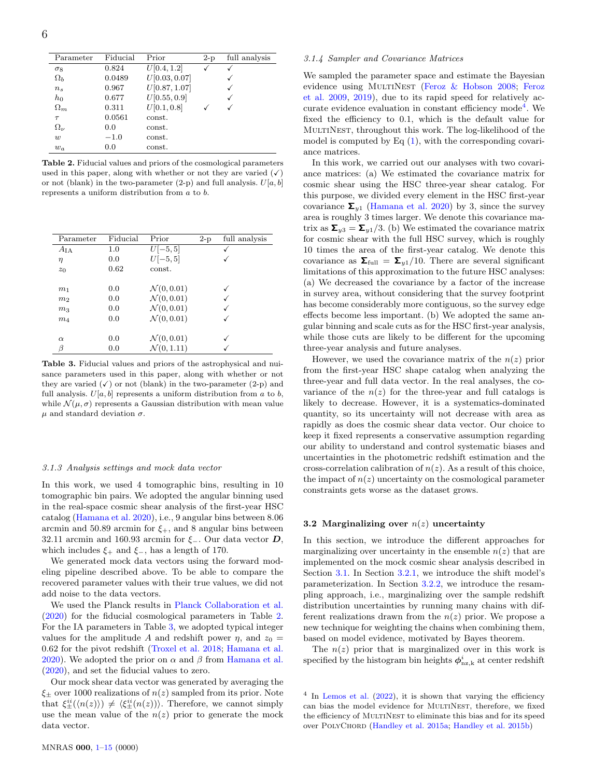<span id="page-5-3"></span>

| Parameter      | Fiducial | Prior         | $2-p$ | full analysis |
|----------------|----------|---------------|-------|---------------|
| $\sigma_8$     | 0.824    | U[0.4, 1.2]   |       | √             |
| $\Omega_h$     | 0.0489   | U[0.03, 0.07] |       |               |
| $n_{\rm s}$    | 0.967    | U[0.87, 1.07] |       |               |
| $h_0$          | 0.677    | U[0.55, 0.9]  |       |               |
| $\Omega_m$     | 0.311    | U[0.1, 0.8]   |       |               |
| $\tau$         | 0.0561   | const.        |       |               |
| $\Omega_{\nu}$ | 0.0      | const.        |       |               |
| w              | $-1.0$   | const.        |       |               |
| $w_a$          | 0.0      | const.        |       |               |

Table 2. Fiducial values and priors of the cosmological parameters used in this paper, along with whether or not they are varied  $(\checkmark)$ or not (blank) in the two-parameter (2-p) and full analysis.  $U[a, b]$ represents a uniform distribution from a to b.

<span id="page-5-4"></span>

| Parameter       | Fiducial | Prior                  | $2-p$ | full analysis |
|-----------------|----------|------------------------|-------|---------------|
| $A_{\text{IA}}$ | 1.0      | $U[-5, 5]$             |       |               |
| $\eta$          | 0.0      | $U[-5, 5]$             |       |               |
| $z_0$           | 0.62     | const.                 |       |               |
|                 |          |                        |       |               |
| m <sub>1</sub>  | 0.0      | $\mathcal{N}(0, 0.01)$ |       |               |
| m <sub>2</sub>  | 0.0      | $\mathcal{N}(0, 0.01)$ |       |               |
| m <sub>3</sub>  | 0.0      | $\mathcal{N}(0, 0.01)$ |       |               |
| m <sub>4</sub>  | 0.0      | $\mathcal{N}(0, 0.01)$ |       |               |
|                 |          |                        |       |               |
| $\alpha$        | 0.0      | $\mathcal{N}(0, 0.01)$ |       |               |
| β               | 0.0      | $\mathcal{N}(0, 1.11)$ |       |               |

Table 3. Fiducial values and priors of the astrophysical and nuisance parameters used in this paper, along with whether or not they are varied  $(\checkmark)$  or not (blank) in the two-parameter (2-p) and full analysis.  $U[a, b]$  represents a uniform distribution from a to b, while  $\mathcal{N}(\mu, \sigma)$  represents a Gaussian distribution with mean value  $\mu$  and standard deviation  $\sigma$ .

#### <span id="page-5-1"></span>3.1.3 Analysis settings and mock data vector

In this work, we used 4 tomographic bins, resulting in 10 tomographic bin pairs. We adopted the angular binning used in the real-space cosmic shear analysis of the first-year HSC catalog [\(Hamana et al.](#page-13-9) [2020\)](#page-13-9), i.e., 9 angular bins between 8.06 arcmin and 50.89 arcmin for  $\xi_{+}$ , and 8 angular bins between 32.11 arcmin and 160.93 arcmin for  $\xi$ -. Our data vector D, which includes  $\xi_+$  and  $\xi_-$ , has a length of 170.

We generated mock data vectors using the forward modeling pipeline described above. To be able to compare the recovered parameter values with their true values, we did not add noise to the data vectors.

We used the Planck results in [Planck Collaboration et al.](#page-13-48) [\(2020\)](#page-13-48) for the fiducial cosmological parameters in Table [2.](#page-5-3) For the IA parameters in Table [3,](#page-5-4) we adopted typical integer values for the amplitude A and redshift power  $\eta$ , and  $z_0 =$ 0.62 for the pivot redshift [\(Troxel et al.](#page-14-11) [2018;](#page-14-11) [Hamana et al.](#page-13-9) [2020\)](#page-13-9). We adopted the prior on  $\alpha$  and  $\beta$  from [Hamana et al.](#page-13-9) [\(2020\)](#page-13-9), and set the fiducial values to zero.

Our mock shear data vector was generated by averaging the  $\xi_{\pm}$  over 1000 realizations of  $n(z)$  sampled from its prior. Note that  $\xi_{\pm}^{ii}(\langle n(z)\rangle) \neq \langle \xi_{\pm}^{ii}(n(z))\rangle$ . Therefore, we cannot simply use the mean value of the  $n(z)$  prior to generate the mock data vector.

#### <span id="page-5-2"></span>3.1.4 Sampler and Covariance Matrices

We sampled the parameter space and estimate the Bayesian evidence using MULTINEST [\(Feroz & Hobson](#page-13-32) [2008;](#page-13-32) [Feroz](#page-13-33) [et al.](#page-13-33) [2009,](#page-13-33) [2019\)](#page-13-34), due to its rapid speed for relatively ac-curate evidence evaluation in constant efficiency mode<sup>[4](#page-5-5)</sup>. We fixed the efficiency to 0.1, which is the default value for MultiNest, throughout this work. The log-likelihood of the model is computed by Eq  $(1)$ , with the corresponding covariance matrices.

In this work, we carried out our analyses with two covariance matrices: (a) We estimated the covariance matrix for cosmic shear using the HSC three-year shear catalog. For this purpose, we divided every element in the HSC first-year covariance  $\Sigma_{y1}$  [\(Hamana et al.](#page-13-9) [2020\)](#page-13-9) by 3, since the survey area is roughly 3 times larger. We denote this covariance matrix as  $\Sigma_{y3} = \Sigma_{y1}/3$ . (b) We estimated the covariance matrix for cosmic shear with the full HSC survey, which is roughly 10 times the area of the first-year catalog. We denote this covariance as  $\Sigma_{\text{full}} = \Sigma_{v1}/10$ . There are several significant limitations of this approximation to the future HSC analyses: (a) We decreased the covariance by a factor of the increase in survey area, without considering that the survey footprint has become considerably more contiguous, so the survey edge effects become less important. (b) We adopted the same angular binning and scale cuts as for the HSC first-year analysis, while those cuts are likely to be different for the upcoming three-year analysis and future analyses.

However, we used the covariance matrix of the  $n(z)$  prior from the first-year HSC shape catalog when analyzing the three-year and full data vector. In the real analyses, the covariance of the  $n(z)$  for the three-year and full catalogs is likely to decrease. However, it is a systematics-dominated quantity, so its uncertainty will not decrease with area as rapidly as does the cosmic shear data vector. Our choice to keep it fixed represents a conservative assumption regarding our ability to understand and control systematic biases and uncertainties in the photometric redshift estimation and the cross-correlation calibration of  $n(z)$ . As a result of this choice, the impact of  $n(z)$  uncertainty on the cosmological parameter constraints gets worse as the dataset grows.

## <span id="page-5-0"></span>3.2 Marginalizing over  $n(z)$  uncertainty

In this section, we introduce the different approaches for marginalizing over uncertainty in the ensemble  $n(z)$  that are implemented on the mock cosmic shear analysis described in Section [3.1.](#page-3-5) In Section [3.2.1,](#page-6-2) we introduce the shift model's parameterization. In Section [3.2.2,](#page-6-1) we introduce the resampling approach, i.e., marginalizing over the sample redshift distribution uncertainties by running many chains with different realizations drawn from the  $n(z)$  prior. We propose a new technique for weighting the chains when combining them, based on model evidence, motivated by Bayes theorem.

The  $n(z)$  prior that is marginalized over in this work is specified by the histogram bin heights  $\phi_{\text{nz},k}^i$  at center redshift

<span id="page-5-5"></span><sup>4</sup> In [Lemos et al.](#page-13-49) [\(2022\)](#page-13-49), it is shown that varying the efficiency can bias the model evidence for MULTINEST, therefore, we fixed the efficiency of MULTINEST to eliminate this bias and for its speed over PolyChord [\(Handley et al.](#page-13-50) [2015a;](#page-13-50) [Handley et al.](#page-13-51) [2015b\)](#page-13-51)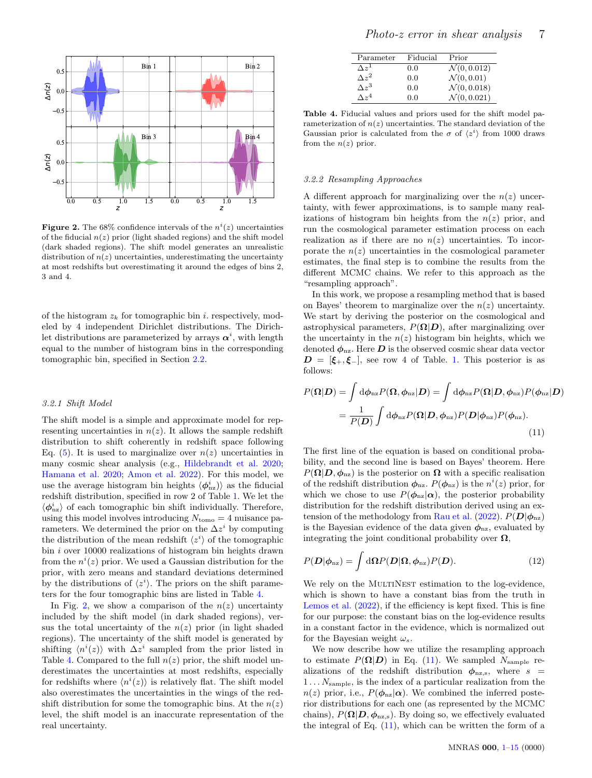<span id="page-6-4"></span>

**Figure 2.** The 68% confidence intervals of the  $n^{i}(z)$  uncertainties of the fiducial  $n(z)$  prior (light shaded regions) and the shift model (dark shaded regions). The shift model generates an unrealistic distribution of  $n(z)$  uncertainties, underestimating the uncertainty at most redshifts but overestimating it around the edges of bins 2, 3 and 4.

of the histogram  $z_k$  for tomographic bin i. respectively, modeled by 4 independent Dirichlet distributions. The Dirichlet distributions are parameterized by arrays  $\alpha^i$ , with length equal to the number of histogram bins in the corresponding tomographic bin, specified in Section [2.2.](#page-2-0)

#### <span id="page-6-2"></span>3.2.1 Shift Model

The shift model is a simple and approximate model for representing uncertainties in  $n(z)$ . It allows the sample redshift distribution to shift coherently in redshift space following Eq.  $(5)$ . It is used to marginalize over  $n(z)$  uncertainties in many cosmic shear analysis (e.g., [Hildebrandt et al.](#page-13-13) [2020;](#page-13-13) [Hamana et al.](#page-13-9) [2020;](#page-13-9) [Amon et al.](#page-13-11) [2022\)](#page-13-11). For this model, we use the average histogram bin heights  $\langle \phi_{\text{nz}}^i \rangle$  as the fiducial redshift distribution, specified in row 2 of Table [1.](#page-4-0) We let the  $\langle \phi^i_{\text{nz}} \rangle$  of each tomographic bin shift individually. Therefore, using this model involves introducing  $N_{\text{tomo}} = 4$  nuisance parameters. We determined the prior on the  $\Delta z^i$  by computing the distribution of the mean redshift  $\langle z^i \rangle$  of the tomographic bin i over 10000 realizations of histogram bin heights drawn from the  $n^{i}(z)$  prior. We used a Gaussian distribution for the prior, with zero means and standard deviations determined by the distributions of  $\langle z^i \rangle$ . The priors on the shift parameters for the four tomographic bins are listed in Table [4.](#page-6-3)

In Fig. [2,](#page-6-4) we show a comparison of the  $n(z)$  uncertainty included by the shift model (in dark shaded regions), versus the total uncertainty of the  $n(z)$  prior (in light shaded regions). The uncertainty of the shift model is generated by shifting  $\langle n^i(z) \rangle$  with  $\Delta z^i$  sampled from the prior listed in Table [4.](#page-6-3) Compared to the full  $n(z)$  prior, the shift model underestimates the uncertainties at most redshifts, especially for redshifts where  $\langle n^i(z) \rangle$  is relatively flat. The shift model also overestimates the uncertainties in the wings of the redshift distribution for some the tomographic bins. At the  $n(z)$ level, the shift model is an inaccurate representation of the real uncertainty.

<span id="page-6-3"></span>

| Parameter           | Fiducial | Prior                   |
|---------------------|----------|-------------------------|
| $\Delta z^1$        | 0.0      | $\mathcal{N}(0, 0.012)$ |
| $\Delta z^2$        | 0.0      | $\mathcal{N}(0, 0.01)$  |
| $\Delta z^3$        | 0.0      | $\mathcal{N}(0, 0.018)$ |
| $\wedge$ $\sim$ $4$ | 0.0      | $\mathcal{N}(0, 0.021)$ |

Table 4. Fiducial values and priors used for the shift model parameterization of  $n(z)$  uncertainties. The standard deviation of the Gaussian prior is calculated from the  $\sigma$  of  $\langle z^i \rangle$  from 1000 draws from the  $n(z)$  prior.

## <span id="page-6-1"></span>3.2.2 Resampling Approaches

A different approach for marginalizing over the  $n(z)$  uncertainty, with fewer approximations, is to sample many realizations of histogram bin heights from the  $n(z)$  prior, and run the cosmological parameter estimation process on each realization as if there are no  $n(z)$  uncertainties. To incorporate the  $n(z)$  uncertainties in the cosmological parameter estimates, the final step is to combine the results from the different MCMC chains. We refer to this approach as the "resampling approach".

In this work, we propose a resampling method that is based on Bayes' theorem to marginalize over the  $n(z)$  uncertainty. We start by deriving the posterior on the cosmological and astrophysical parameters,  $P(\Omega|D)$ , after marginalizing over the uncertainty in the  $n(z)$  histogram bin heights, which we denoted  $\phi_{nz}$ . Here D is the observed cosmic shear data vector  $D = [\xi_+, \xi_+]$ , see row 4 of Table. [1.](#page-4-0) This posterior is as follows:

$$
P(\mathbf{\Omega}|\mathbf{D}) = \int d\phi_{\text{nz}} P(\mathbf{\Omega}, \phi_{\text{nz}}|\mathbf{D}) = \int d\phi_{\text{nz}} P(\mathbf{\Omega}|\mathbf{D}, \phi_{\text{nz}}) P(\phi_{\text{nz}}|\mathbf{D})
$$
  
= 
$$
\frac{1}{P(\mathbf{D})} \int d\phi_{\text{nz}} P(\mathbf{\Omega}|\mathbf{D}, \phi_{\text{nz}}) P(\mathbf{D}|\phi_{\text{nz}}) P(\phi_{\text{nz}}).
$$
(11)

<span id="page-6-5"></span>The first line of the equation is based on conditional probability, and the second line is based on Bayes' theorem. Here  $P(\mathbf{\Omega}|\mathbf{D}, \phi_{\text{nz}})$  is the posterior on  $\mathbf{\Omega}$  with a specific realisation of the redshift distribution  $\phi_{\text{nz}}$ .  $P(\phi_{\text{nz}})$  is the  $n^{i}(z)$  prior, for which we chose to use  $P(\phi_{\text{nz}}|\alpha)$ , the posterior probability distribution for the redshift distribution derived using an ex-tension of the methodology from [Rau et al.](#page-13-22) [\(2022\)](#page-13-22).  $P(D|\phi_{nz})$ is the Bayesian evidence of the data given  $\phi_{nz}$ , evaluated by integrating the joint conditional probability over  $\Omega$ ,

<span id="page-6-0"></span>
$$
P(\mathbf{D}|\phi_{\text{nz}}) = \int d\mathbf{\Omega} P(\mathbf{D}|\mathbf{\Omega}, \phi_{\text{nz}}) P(\mathbf{D}).
$$
\n(12)

We rely on the MULTINEST estimation to the log-evidence, which is shown to have a constant bias from the truth in [Lemos et al.](#page-13-49) [\(2022\)](#page-13-49), if the efficiency is kept fixed. This is fine for our purpose: the constant bias on the log-evidence results in a constant factor in the evidence, which is normalized out for the Bayesian weight  $\omega_s$ .

We now describe how we utilize the resampling approach to estimate  $P(\Omega|\mathbf{D})$  in Eq. [\(11\)](#page-6-5). We sampled  $N_{\text{sample}}$  realizations of the redshift distribution  $\phi_{\text{nz},s}$ , where  $s =$  $1 \ldots N_{\text{sample}}$ , is the index of a particular realization from the  $n(z)$  prior, i.e.,  $P(\phi_{nz}|\alpha)$ . We combined the inferred posterior distributions for each one (as represented by the MCMC chains),  $P(\mathbf{\Omega}|\mathbf{D}, \phi_{\text{nz},s})$ . By doing so, we effectively evaluated the integral of Eq.  $(11)$ , which can be written the form of a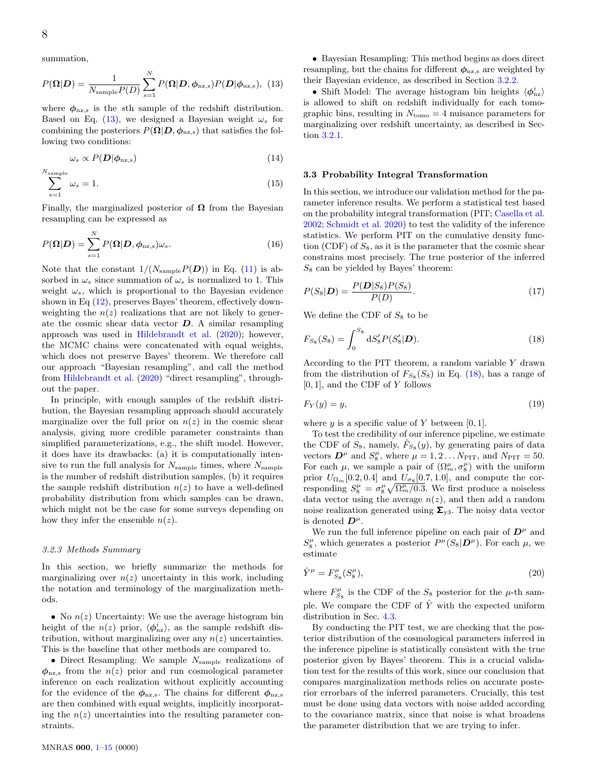summation,

$$
P(\mathbf{\Omega}|\mathbf{D}) = \frac{1}{N_{\text{sample}}P(D)} \sum_{s=1}^{N} P(\mathbf{\Omega}|\mathbf{D}, \phi_{\text{nz,s}}) P(\mathbf{D}|\phi_{\text{nz,s}}), \tag{13}
$$

where  $\phi_{\text{nz,s}}$  is the sth sample of the redshift distribution. Based on Eq. [\(13\)](#page-7-0), we designed a Bayesian weight  $\omega_s$  for combining the posteriors  $P(\mathbf{\Omega}|\mathbf{D}, \phi_{\text{nz,s}})$  that satisfies the following two conditions:

<span id="page-7-3"></span>
$$
\omega_s \propto P(\mathbf{D}|\phi_{\rm nz,s})\tag{14}
$$

$$
\sum_{s=1}^{N_{\text{sample}}} \omega_s = 1. \tag{15}
$$

Finally, the marginalized posterior of  $\Omega$  from the Bayesian resampling can be expressed as

$$
P(\mathbf{\Omega}|\mathbf{D}) = \sum_{s=1}^{N} P(\mathbf{\Omega}|\mathbf{D}, \phi_{\text{nz},s}) \omega_s.
$$
 (16)

Note that the constant  $1/(N_{\text{sample}}P(D))$  in Eq. [\(11\)](#page-6-5) is absorbed in  $\omega_s$  since summation of  $\omega_s$  is normalized to 1. This weight  $\omega_s$ , which is proportional to the Bayesian evidence shown in Eq [\(12\)](#page-6-0), preserves Bayes' theorem, effectively downweighting the  $n(z)$  realizations that are not likely to generate the cosmic shear data vector  $D$ . A similar resampling approach was used in [Hildebrandt et al.](#page-13-13) [\(2020\)](#page-13-13); however, the MCMC chains were concatenated with equal weights, which does not preserve Bayes' theorem. We therefore call our approach "Bayesian resampling", and call the method from [Hildebrandt et al.](#page-13-13) [\(2020\)](#page-13-13) "direct resampling", throughout the paper.

In principle, with enough samples of the redshift distribution, the Bayesian resampling approach should accurately marginalize over the full prior on  $n(z)$  in the cosmic shear analysis, giving more credible parameter constraints than simplified parameterizations, e.g., the shift model. However, it does have its drawbacks: (a) it is computationally intensive to run the full analysis for  $N_{\text{sample}}$  times, where  $N_{\text{sample}}$ is the number of redshift distribution samples, (b) it requires the sample redshift distribution  $n(z)$  to have a well-defined probability distribution from which samples can be drawn, which might not be the case for some surveys depending on how they infer the ensemble  $n(z)$ .

#### <span id="page-7-2"></span>3.2.3 Methods Summary

In this section, we briefly summarize the methods for marginalizing over  $n(z)$  uncertainty in this work, including the notation and terminology of the marginalization methods.

• No  $n(z)$  Uncertainty: We use the average histogram bin height of the  $n(z)$  prior,  $\langle \phi_{\text{nz}}^i \rangle$ , as the sample redshift distribution, without marginalizing over any  $n(z)$  uncertainties. This is the baseline that other methods are compared to.

• Direct Resampling: We sample  $N_{\text{sample}}$  realizations of  $\phi_{\text{nz},s}$  from the  $n(z)$  prior and run cosmological parameter inference on each realization without explicitly accounting for the evidence of the  $\phi_{\text{nz,s}}$ . The chains for different  $\phi_{\text{nz,s}}$ are then combined with equal weights, implicitly incorporating the  $n(z)$  uncertainties into the resulting parameter constraints.

• Bayesian Resampling: This method begins as does direct resampling, but the chains for different  $\phi_{\text{nz,s}}$  are weighted by their Bayesian evidence, as described in Section [3.2.2.](#page-6-1)

<span id="page-7-0"></span>• Shift Model: The average histogram bin heights  $\langle \phi_{\text{nz}}^i \rangle$ is allowed to shift on redshift individually for each tomographic bins, resulting in  $N_{\text{tomo}} = 4$  nuisance parameters for marginalizing over redshift uncertainty, as described in Section [3.2.1.](#page-6-2)

# <span id="page-7-4"></span>3.3 Probability Integral Transformation

In this section, we introduce our validation method for the parameter inference results. We perform a statistical test based on the probability integral transformation (PIT; [Casella et al.](#page-13-52) [2002;](#page-13-52) [Schmidt et al.](#page-14-12) [2020\)](#page-14-12) to test the validity of the inference statistics. We perform PIT on the cumulative density function (CDF) of  $S_8$ , as it is the parameter that the cosmic shear constrains most precisely. The true posterior of the inferred  $S_8$  can be yielded by Bayes' theorem:

$$
P(S_8|\mathbf{D}) = \frac{P(\mathbf{D}|S_8)P(S_8)}{P(D)}.\t(17)
$$

<span id="page-7-1"></span>We define the CDF of  $S_8$  to be

$$
F_{S_8}(S_8) = \int_0^{S_8} dS'_8 P(S'_8 | \mathbf{D}).
$$
\n(18)

According to the PIT theorem, a random variable Y drawn from the distribution of  $F_{S_8}(S_8)$  in Eq. [\(18\)](#page-7-1), has a range of [0, 1], and the CDF of Y follows

$$
F_Y(y) = y,\tag{19}
$$

where  $y$  is a specific value of Y between [0, 1].

To test the credibility of our inference pipeline, we estimate the CDF of  $S_8$ , namely,  $\hat{F}_{S_8}(y)$ , by generating pairs of data vectors  $\mathbf{D}^{\mu}$  and  $S_8^{\mu}$ , where  $\mu = 1, 2...N_{\text{PIT}}$ , and  $N_{\text{PIT}} = 50$ . For each  $\mu$ , we sample a pair of  $(\Omega_m^{\mu}, \sigma_8^{\mu})$  with the uniform prior  $U_{\Omega_m}[0.2, 0.4]$  and  $U_{\sigma_8}[0.7, 1.0]$ , and compute the corresponding  $S_8^{\mu} = \sigma_8^{\mu} \sqrt{\Omega_m^{\mu}/0.3}$ . We first produce a noiseless data vector using the average  $n(z)$ , and then add a random noise realization generated using  $\Sigma_{v3}$ . The noisy data vector is denoted  $D^{\mu}$ .

We run the full inference pipeline on each pair of  $D^{\mu}$  and  $S_8^{\mu}$ , which generates a posterior  $P^{\mu}(S_8|\mathbf{D}^{\mu})$ . For each  $\mu$ , we estimate

$$
\hat{Y}^{\mu} = F^{\mu}_{S_8}(S^{\mu}_8),\tag{20}
$$

where  $F^{\mu}_{S_8}$  is the CDF of the  $S_8$  posterior for the  $\mu\text{-th}$  sample. We compare the CDF of  $\hat{Y}$  with the expected uniform distribution in Sec. [4.3.](#page-11-0)

By conducting the PIT test, we are checking that the posterior distribution of the cosmological parameters inferred in the inference pipeline is statistically consistent with the true posterior given by Bayes' theorem. This is a crucial validation test for the results of this work, since our conclusion that compares marginalization methods relies on accurate posterior errorbars of the inferred parameters. Crucially, this test must be done using data vectors with noise added according to the covariance matrix, since that noise is what broadens the parameter distribution that we are trying to infer.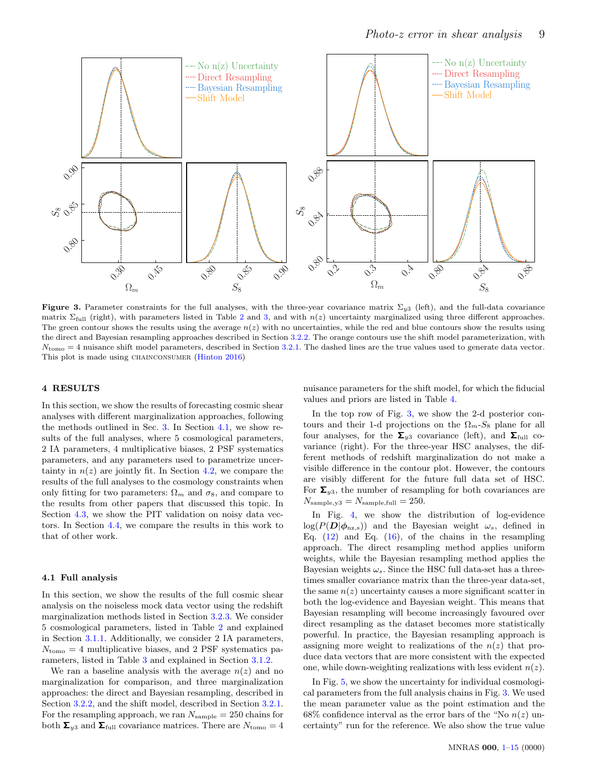<span id="page-8-2"></span>

Figure 3. Parameter constraints for the full analyses, with the three-year covariance matrix  $\Sigma_{y3}$  (left), and the full-data covariance matrix  $\Sigma_{\text{full}}$  (right), with parameters listed in Table [2](#page-5-3) and [3,](#page-5-4) and with  $n(z)$  uncertainty marginalized using three different approaches. The green contour shows the results using the average  $n(z)$  with no uncertainties, while the red and blue contours show the results using the direct and Bayesian resampling approaches described in Section [3.2.2.](#page-6-1) The orange contours use the shift model parameterization, with  $N_{\text{tomo}} = 4$  nuisance shift model parameters, described in Section [3.2.1.](#page-6-2) The dashed lines are the true values used to generate data vector. This plot is made using CHAINCONSUMER [\(Hinton](#page-13-53) [2016\)](#page-13-53)

# <span id="page-8-0"></span>4 RESULTS

In this section, we show the results of forecasting cosmic shear analyses with different marginalization approaches, following the methods outlined in Sec. [3.](#page-3-0) In Section [4.1,](#page-8-1) we show results of the full analyses, where 5 cosmological parameters, 2 IA parameters, 4 multiplicative biases, 2 PSF systematics parameters, and any parameters used to parametrize uncertainty in  $n(z)$  are jointly fit. In Section [4.2,](#page-10-0) we compare the results of the full analyses to the cosmology constraints when only fitting for two parameters:  $\Omega_m$  and  $\sigma_8$ , and compare to the results from other papers that discussed this topic. In Section [4.3,](#page-11-0) we show the PIT validation on noisy data vectors. In Section [4.4,](#page-11-1) we compare the results in this work to that of other work.

#### <span id="page-8-1"></span>4.1 Full analysis

In this section, we show the results of the full cosmic shear analysis on the noiseless mock data vector using the redshift marginalization methods listed in Section [3.2.3.](#page-7-2) We consider 5 cosmological parameters, listed in Table [2](#page-5-3) and explained in Section [3.1.1.](#page-3-6) Additionally, we consider 2 IA parameters,  $N_{\text{tomo}} = 4$  multiplicative biases, and 2 PSF systematics parameters, listed in Table [3](#page-5-4) and explained in Section [3.1.2.](#page-4-1)

We ran a baseline analysis with the average  $n(z)$  and no marginalization for comparison, and three marginalization approaches: the direct and Bayesian resampling, described in Section [3.2.2,](#page-6-1) and the shift model, described in Section [3.2.1.](#page-6-2) For the resampling approach, we ran  $N_{\text{sample}} = 250$  chains for both  $\Sigma_{y3}$  and  $\Sigma_{\text{full}}$  covariance matrices. There are  $N_{\text{tomo}} = 4$  nuisance parameters for the shift model, for which the fiducial values and priors are listed in Table [4.](#page-6-3)

In the top row of Fig. [3,](#page-8-2) we show the 2-d posterior contours and their 1-d projections on the  $\Omega_m$ -S<sub>8</sub> plane for all four analyses, for the  $\Sigma_{y3}$  covariance (left), and  $\Sigma_{\text{full}}$  covariance (right). For the three-year HSC analyses, the different methods of redshift marginalization do not make a visible difference in the contour plot. However, the contours are visibly different for the future full data set of HSC. For  $\Sigma_{u3}$ , the number of resampling for both covariances are  $N_{\text{sample,y3}} = N_{\text{sample,full}} = 250.$ 

In Fig. [4,](#page-9-0) we show the distribution of log-evidence  $log(P(D|\phi_{\text{nz,s}}))$  and the Bayesian weight  $\omega_s$ , defined in Eq.  $(12)$  and Eq.  $(16)$ , of the chains in the resampling approach. The direct resampling method applies uniform weights, while the Bayesian resampling method applies the Bayesian weights  $\omega_s$ . Since the HSC full data-set has a threetimes smaller covariance matrix than the three-year data-set, the same  $n(z)$  uncertainty causes a more significant scatter in both the log-evidence and Bayesian weight. This means that Bayesian resampling will become increasingly favoured over direct resampling as the dataset becomes more statistically powerful. In practice, the Bayesian resampling approach is assigning more weight to realizations of the  $n(z)$  that produce data vectors that are more consistent with the expected one, while down-weighting realizations with less evident  $n(z)$ .

In Fig. [5,](#page-10-1) we show the uncertainty for individual cosmological parameters from the full analysis chains in Fig. [3.](#page-8-2) We used the mean parameter value as the point estimation and the 68% confidence interval as the error bars of the "No  $n(z)$  uncertainty" run for the reference. We also show the true value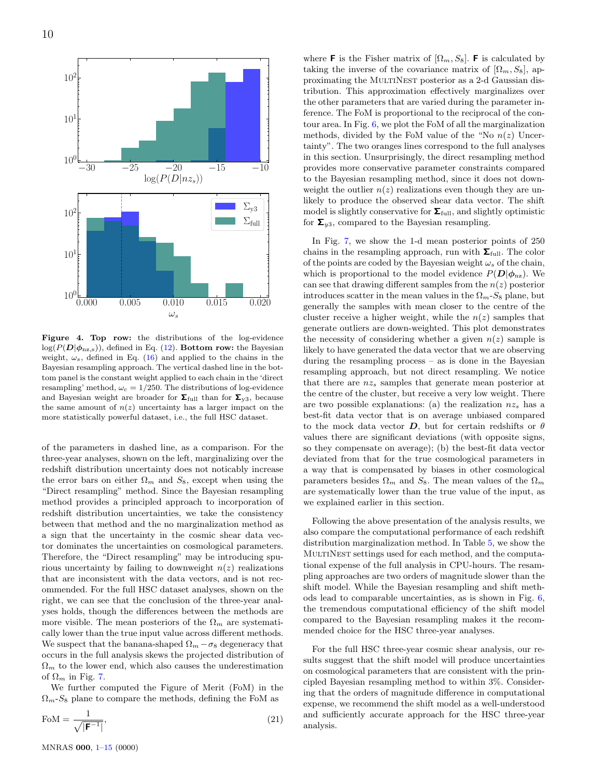<span id="page-9-0"></span>

Figure 4. Top row: the distributions of the log-evidence  $log(P(D|\phi_{\text{nz,s}}))$ , defined in Eq. [\(12\)](#page-6-0). Bottom row: the Bayesian weight,  $\omega_s$ , defined in Eq. [\(16\)](#page-7-3) and applied to the chains in the Bayesian resampling approach. The vertical dashed line in the bottom panel is the constant weight applied to each chain in the 'direct resampling' method,  $\omega_c = 1/250$ . The distributions of log-evidence and Bayesian weight are broader for  $\Sigma_{\text{full}}$  than for  $\Sigma_{y3}$ , because the same amount of  $n(z)$  uncertainty has a larger impact on the more statistically powerful dataset, i.e., the full HSC dataset.

of the parameters in dashed line, as a comparison. For the three-year analyses, shown on the left, marginalizing over the redshift distribution uncertainty does not noticably increase the error bars on either  $\Omega_m$  and  $S_8$ , except when using the "Direct resampling" method. Since the Bayesian resampling method provides a principled approach to incorporation of redshift distribution uncertainties, we take the consistency between that method and the no marginalization method as a sign that the uncertainty in the cosmic shear data vector dominates the uncertainties on cosmological parameters. Therefore, the "Direct resampling" may be introducing spurious uncertainty by failing to downweight  $n(z)$  realizations that are inconsistent with the data vectors, and is not recommended. For the full HSC dataset analyses, shown on the right, we can see that the conclusion of the three-year analyses holds, though the differences between the methods are more visible. The mean posteriors of the  $\Omega_m$  are systematically lower than the true input value across different methods. We suspect that the banana-shaped  $\Omega_m - \sigma_8$  degeneracy that occurs in the full analysis skews the projected distribution of  $\Omega_m$  to the lower end, which also causes the underestimation of  $\Omega_m$  in Fig. [7.](#page-10-2)

We further computed the Figure of Merit (FoM) in the  $\Omega_m$ -S<sub>8</sub> plane to compare the methods, defining the FoM as

$$
\text{FoM} = \frac{1}{\sqrt{|\mathbf{F}^{-1}|}},\tag{21}
$$

where **F** is the Fisher matrix of  $[\Omega_m, S_8]$ . **F** is calculated by taking the inverse of the covariance matrix of  $[\Omega_m, S_8]$ , approximating the MultiNest posterior as a 2-d Gaussian distribution. This approximation effectively marginalizes over the other parameters that are varied during the parameter inference. The FoM is proportional to the reciprocal of the contour area. In Fig. [6,](#page-10-3) we plot the FoM of all the marginalization methods, divided by the FoM value of the "No  $n(z)$  Uncertainty". The two oranges lines correspond to the full analyses in this section. Unsurprisingly, the direct resampling method provides more conservative parameter constraints compared to the Bayesian resampling method, since it does not downweight the outlier  $n(z)$  realizations even though they are unlikely to produce the observed shear data vector. The shift model is slightly conservative for  $\Sigma_{\text{full}}$ , and slightly optimistic for  $\Sigma_{u3}$ , compared to the Bayesian resampling.

In Fig. [7,](#page-10-2) we show the 1-d mean posterior points of 250 chains in the resampling approach, run with  $\Sigma_{\text{full}}$ . The color of the points are coded by the Bayesian weight  $\omega_s$  of the chain, which is proportional to the model evidence  $P(D|\phi_{\text{nz}})$ . We can see that drawing different samples from the  $n(z)$  posterior introduces scatter in the mean values in the  $\Omega_m$ -S<sub>8</sub> plane, but generally the samples with mean closer to the centre of the cluster receive a higher weight, while the  $n(z)$  samples that generate outliers are down-weighted. This plot demonstrates the necessity of considering whether a given  $n(z)$  sample is likely to have generated the data vector that we are observing during the resampling process – as is done in the Bayesian resampling approach, but not direct resampling. We notice that there are  $nz_s$  samples that generate mean posterior at the centre of the cluster, but receive a very low weight. There are two possible explanations: (a) the realization  $nz<sub>s</sub>$  has a best-fit data vector that is on average unbiased compared to the mock data vector  $D$ , but for certain redshifts or  $\theta$ values there are significant deviations (with opposite signs, so they compensate on average); (b) the best-fit data vector deviated from that for the true cosmological parameters in a way that is compensated by biases in other cosmological parameters besides  $\Omega_m$  and  $S_8$ . The mean values of the  $\Omega_m$ are systematically lower than the true value of the input, as we explained earlier in this section.

Following the above presentation of the analysis results, we also compare the computational performance of each redshift distribution marginalization method. In Table [5,](#page-10-4) we show the MULTINEST settings used for each method, and the computational expense of the full analysis in CPU-hours. The resampling approaches are two orders of magnitude slower than the shift model. While the Bayesian resampling and shift methods lead to comparable uncertainties, as is shown in Fig. [6,](#page-10-3) the tremendous computational efficiency of the shift model compared to the Bayesian resampling makes it the recommended choice for the HSC three-year analyses.

For the full HSC three-year cosmic shear analysis, our results suggest that the shift model will produce uncertainties on cosmological parameters that are consistent with the principled Bayesian resampling method to within 3%. Considering that the orders of magnitude difference in computational expense, we recommend the shift model as a well-understood and sufficiently accurate approach for the HSC three-year analysis.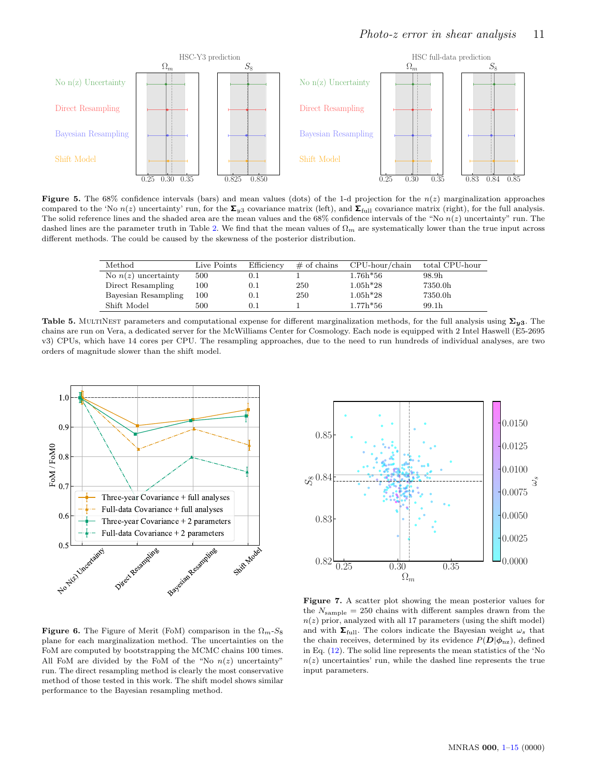<span id="page-10-1"></span>

Figure 5. The 68% confidence intervals (bars) and mean values (dots) of the 1-d projection for the  $n(z)$  marginalization approaches compared to the 'No  $n(z)$  uncertainty' run, for the  $\Sigma_{y3}$  covariance matrix (left), and  $\Sigma_{\text{full}}$  covariance matrix (right), for the full analysis. The solid reference lines and the shaded area are the mean values and the 68% confidence intervals of the "No  $n(z)$  uncertainty" run. The dashed lines are the parameter truth in Table [2.](#page-5-3) We find that the mean values of  $\Omega_m$  are systematically lower than the true input across different methods. The could be caused by the skewness of the posterior distribution.

<span id="page-10-4"></span>

| Method                | Live Points | Efficiency | $\#$ of chains | $CPU$ -hour/chain | total CPU-hour |
|-----------------------|-------------|------------|----------------|-------------------|----------------|
| No $n(z)$ uncertainty | 500         | $\rm 0.1$  |                | $1.76h*56$        | 98.9h          |
| Direct Resampling     | $100\,$     | $\rm 0.1$  | 250            | $1.05h*28$        | 7350.0h        |
| Bayesian Resampling   | $100\,$     | $\rm 0.1$  | 250            | $1.05h*28$        | 7350.0h        |
| Shift Model           | 500         | $\rm 0.1$  |                | $1.77h*56$        | 99.1h          |

Table 5. MULTINEST parameters and computational expense for different marginalization methods, for the full analysis using  $\Sigma_{u3}$ . The chains are run on Vera, a dedicated server for the McWilliams Center for Cosmology. Each node is equipped with 2 Intel Haswell (E5-2695 v3) CPUs, which have 14 cores per CPU. The resampling approaches, due to the need to run hundreds of individual analyses, are two orders of magnitude slower than the shift model.

<span id="page-10-3"></span>

<span id="page-10-2"></span>

**Figure 6.** The Figure of Merit (FoM) comparison in the  $\Omega_m$ -S<sub>8</sub> plane for each marginalization method. The uncertainties on the FoM are computed by bootstrapping the MCMC chains 100 times. All FoM are divided by the FoM of the "No  $n(z)$  uncertainty" run. The direct resampling method is clearly the most conservative method of those tested in this work. The shift model shows similar performance to the Bayesian resampling method.

<span id="page-10-0"></span>Figure 7. A scatter plot showing the mean posterior values for the  $N_{\text{sample}} = 250$  chains with different samples drawn from the  $n(z)$  prior, analyzed with all 17 parameters (using the shift model) and with  $\Sigma_{\text{full}}$ . The colors indicate the Bayesian weight  $\omega_s$  that the chain receives, determined by its evidence  $P(D|\phi_{\text{nz}})$ , defined in Eq. [\(12\)](#page-6-0). The solid line represents the mean statistics of the 'No  $n(z)$  uncertainties' run, while the dashed line represents the true input parameters.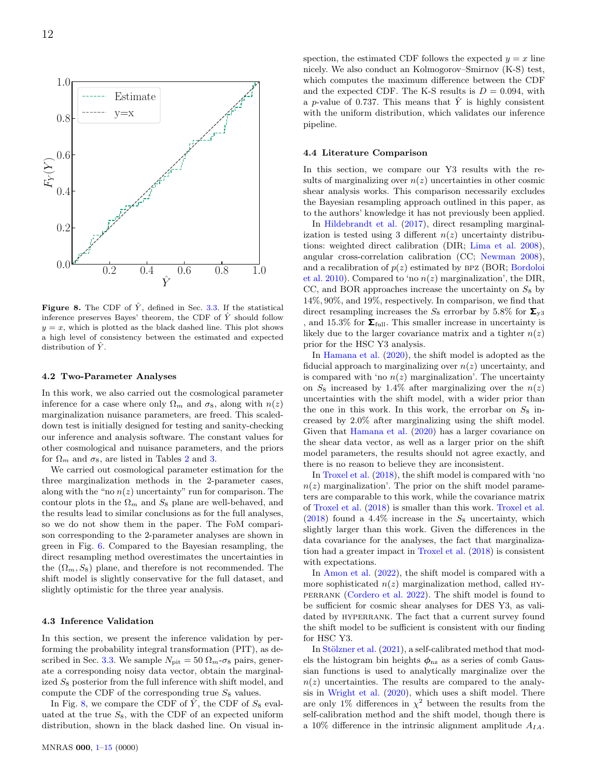<span id="page-11-2"></span>

Figure 8. The CDF of  $\hat{Y}$ , defined in Sec. [3.3.](#page-7-4) If the statistical inference preserves Bayes' theorem, the CDF of  $\hat{Y}$  should follow  $y = x$ , which is plotted as the black dashed line. This plot shows a high level of consistency between the estimated and expected distribution of  $\hat{Y}$ .

#### 4.2 Two-Parameter Analyses

In this work, we also carried out the cosmological parameter inference for a case where only  $\Omega_m$  and  $\sigma_8$ , along with  $n(z)$ marginalization nuisance parameters, are freed. This scaleddown test is initially designed for testing and sanity-checking our inference and analysis software. The constant values for other cosmological and nuisance parameters, and the priors for  $\Omega_m$  and  $\sigma_8$ , are listed in Tables [2](#page-5-3) and [3.](#page-5-4)

We carried out cosmological parameter estimation for the three marginalization methods in the 2-parameter cases, along with the "no  $n(z)$  uncertainty" run for comparison. The contour plots in the  $\Omega_m$  and  $S_8$  plane are well-behaved, and the results lead to similar conclusions as for the full analyses, so we do not show them in the paper. The FoM comparison corresponding to the 2-parameter analyses are shown in green in Fig. [6.](#page-10-3) Compared to the Bayesian resampling, the direct resampling method overestimates the uncertainties in the  $(\Omega_m, S_8)$  plane, and therefore is not recommended. The shift model is slightly conservative for the full dataset, and slightly optimistic for the three year analysis.

#### <span id="page-11-0"></span>4.3 Inference Validation

In this section, we present the inference validation by performing the probability integral transformation (PIT), as de-scribed in Sec. [3.3.](#page-7-4) We sample  $N_{\text{pit}} = 50 \Omega_m - \sigma_8$  pairs, generate a corresponding noisy data vector, obtain the marginalized  $S_8$  posterior from the full inference with shift model, and compute the CDF of the corresponding true  $S_8$  values.

In Fig. [8,](#page-11-2) we compare the CDF of  $\hat{Y}$ , the CDF of  $S_8$  evaluated at the true  $S_8$ , with the CDF of an expected uniform distribution, shown in the black dashed line. On visual inspection, the estimated CDF follows the expected  $y = x$  line nicely. We also conduct an Kolmogorov–Smirnov (K-S) test, which computes the maximum difference between the CDF and the expected CDF. The K-S results is  $D = 0.094$ , with a p-value of 0.737. This means that  $\hat{Y}$  is highly consistent with the uniform distribution, which validates our inference pipeline.

#### <span id="page-11-1"></span>4.4 Literature Comparison

In this section, we compare our Y3 results with the results of marginalizing over  $n(z)$  uncertainties in other cosmic shear analysis works. This comparison necessarily excludes the Bayesian resampling approach outlined in this paper, as to the authors' knowledge it has not previously been applied.

In [Hildebrandt et al.](#page-13-25) [\(2017\)](#page-13-25), direct resampling marginalization is tested using 3 different  $n(z)$  uncertainty distributions: weighted direct calibration (DIR; [Lima et al.](#page-13-19) [2008\)](#page-13-19), angular cross-correlation calibration (CC; [Newman](#page-13-17) [2008\)](#page-13-17), and a recalibration of  $p(z)$  estimated by BPZ (BOR; [Bordoloi](#page-13-54) [et al.](#page-13-54) [2010\)](#page-13-54). Compared to 'no  $n(z)$  marginalization', the DIR, CC, and BOR approaches increase the uncertainty on  $S_8$  by 14%, 90%, and 19%, respectively. In comparison, we find that direct resampling increases the  $S_8$  errorbar by 5.8% for  $\Sigma_{v3}$ , and 15.3% for  $\Sigma_{\text{full}}$ . This smaller increase in uncertainty is likely due to the larger covariance matrix and a tighter  $n(z)$ prior for the HSC Y3 analysis.

In [Hamana et al.](#page-13-9) [\(2020\)](#page-13-9), the shift model is adopted as the fiducial approach to marginalizing over  $n(z)$  uncertainty, and is compared with 'no  $n(z)$  marginalization'. The uncertainty on  $S_8$  increased by 1.4% after marginalizing over the  $n(z)$ uncertainties with the shift model, with a wider prior than the one in this work. In this work, the errorbar on  $S_8$  increased by 2.0% after marginalizing using the shift model. Given that [Hamana et al.](#page-13-9) [\(2020\)](#page-13-9) has a larger covariance on the shear data vector, as well as a larger prior on the shift model parameters, the results should not agree exactly, and there is no reason to believe they are inconsistent.

In [Troxel et al.](#page-14-11) [\(2018\)](#page-14-11), the shift model is compared with 'no  $n(z)$  marginalization'. The prior on the shift model parameters are comparable to this work, while the covariance matrix of [Troxel et al.](#page-14-11) [\(2018\)](#page-14-11) is smaller than this work. [Troxel et al.](#page-14-11)  $(2018)$  found a 4.4% increase in the  $S_8$  uncertainty, which slightly larger than this work. Given the differences in the data covariance for the analyses, the fact that marginalization had a greater impact in [Troxel et al.](#page-14-11) [\(2018\)](#page-14-11) is consistent with expectations.

In [Amon et al.](#page-13-11) [\(2022\)](#page-13-11), the shift model is compared with a more sophisticated  $n(z)$  marginalization method, called HYperrank [\(Cordero et al.](#page-13-27) [2022\)](#page-13-27). The shift model is found to be sufficient for cosmic shear analyses for DES Y3, as validated by HYPERRANK. The fact that a current survey found the shift model to be sufficient is consistent with our finding for HSC Y3.

In Stölzner et al.  $(2021)$ , a self-calibrated method that models the histogram bin heights  $\phi_{nz}$  as a series of comb Gaussian functions is used to analytically marginalize over the  $n(z)$  uncertainties. The results are compared to the analysis in [Wright et al.](#page-14-13) [\(2020\)](#page-14-13), which uses a shift model. There are only 1% differences in  $\chi^2$  between the results from the self-calibration method and the shift model, though there is a 10% difference in the intrinsic alignment amplitude  $A_{IA}$ .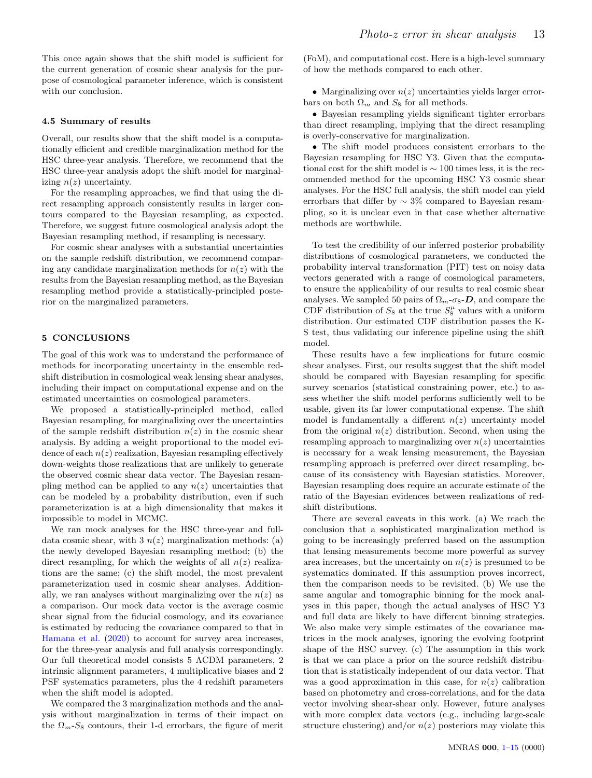This once again shows that the shift model is sufficient for the current generation of cosmic shear analysis for the purpose of cosmological parameter inference, which is consistent with our conclusion.

# 4.5 Summary of results

Overall, our results show that the shift model is a computationally efficient and credible marginalization method for the HSC three-year analysis. Therefore, we recommend that the HSC three-year analysis adopt the shift model for marginalizing  $n(z)$  uncertainty.

For the resampling approaches, we find that using the direct resampling approach consistently results in larger contours compared to the Bayesian resampling, as expected. Therefore, we suggest future cosmological analysis adopt the Bayesian resampling method, if resampling is necessary.

For cosmic shear analyses with a substantial uncertainties on the sample redshift distribution, we recommend comparing any candidate marginalization methods for  $n(z)$  with the results from the Bayesian resampling method, as the Bayesian resampling method provide a statistically-principled posterior on the marginalized parameters.

# <span id="page-12-0"></span>5 CONCLUSIONS

The goal of this work was to understand the performance of methods for incorporating uncertainty in the ensemble redshift distribution in cosmological weak lensing shear analyses, including their impact on computational expense and on the estimated uncertainties on cosmological parameters.

We proposed a statistically-principled method, called Bayesian resampling, for marginalizing over the uncertainties of the sample redshift distribution  $n(z)$  in the cosmic shear analysis. By adding a weight proportional to the model evidence of each  $n(z)$  realization, Bayesian resampling effectively down-weights those realizations that are unlikely to generate the observed cosmic shear data vector. The Bayesian resampling method can be applied to any  $n(z)$  uncertainties that can be modeled by a probability distribution, even if such parameterization is at a high dimensionality that makes it impossible to model in MCMC.

We ran mock analyses for the HSC three-year and fulldata cosmic shear, with 3  $n(z)$  marginalization methods: (a) the newly developed Bayesian resampling method; (b) the direct resampling, for which the weights of all  $n(z)$  realizations are the same; (c) the shift model, the most prevalent parameterization used in cosmic shear analyses. Additionally, we ran analyses without marginalizing over the  $n(z)$  as a comparison. Our mock data vector is the average cosmic shear signal from the fiducial cosmology, and its covariance is estimated by reducing the covariance compared to that in [Hamana et al.](#page-13-9) [\(2020\)](#page-13-9) to account for survey area increases, for the three-year analysis and full analysis correspondingly. Our full theoretical model consists 5 ΛCDM parameters, 2 intrinsic alignment parameters, 4 multiplicative biases and 2 PSF systematics parameters, plus the 4 redshift parameters when the shift model is adopted.

We compared the 3 marginalization methods and the analysis without marginalization in terms of their impact on the  $\Omega_m$ -S<sub>8</sub> contours, their 1-d errorbars, the figure of merit (FoM), and computational cost. Here is a high-level summary of how the methods compared to each other.

• Marginalizing over  $n(z)$  uncertainties yields larger errorbars on both  $\Omega_m$  and  $S_8$  for all methods.

• Bayesian resampling yields significant tighter errorbars than direct resampling, implying that the direct resampling is overly-conservative for marginalization.

• The shift model produces consistent errorbars to the Bayesian resampling for HSC Y3. Given that the computational cost for the shift model is  $\sim 100$  times less, it is the recommended method for the upcoming HSC Y3 cosmic shear analyses. For the HSC full analysis, the shift model can yield errorbars that differ by ∼ 3% compared to Bayesian resampling, so it is unclear even in that case whether alternative methods are worthwhile.

To test the credibility of our inferred posterior probability distributions of cosmological parameters, we conducted the probability interval transformation (PIT) test on noisy data vectors generated with a range of cosmological parameters, to ensure the applicability of our results to real cosmic shear analyses. We sampled 50 pairs of  $\Omega_m$ - $\sigma_8$ - $\bm{D}$ , and compare the CDF distribution of  $S_8$  at the true  $S_8^{\mu}$  values with a uniform distribution. Our estimated CDF distribution passes the K-S test, thus validating our inference pipeline using the shift model.

These results have a few implications for future cosmic shear analyses. First, our results suggest that the shift model should be compared with Bayesian resampling for specific survey scenarios (statistical constraining power, etc.) to assess whether the shift model performs sufficiently well to be usable, given its far lower computational expense. The shift model is fundamentally a different  $n(z)$  uncertainty model from the original  $n(z)$  distribution. Second, when using the resampling approach to marginalizing over  $n(z)$  uncertainties is necessary for a weak lensing measurement, the Bayesian resampling approach is preferred over direct resampling, because of its consistency with Bayesian statistics. Moreover, Bayesian resampling does require an accurate estimate of the ratio of the Bayesian evidences between realizations of redshift distributions.

There are several caveats in this work. (a) We reach the conclusion that a sophisticated marginalization method is going to be increasingly preferred based on the assumption that lensing measurements become more powerful as survey area increases, but the uncertainty on  $n(z)$  is presumed to be systematics dominated. If this assumption proves incorrect, then the comparison needs to be revisited. (b) We use the same angular and tomographic binning for the mock analyses in this paper, though the actual analyses of HSC Y3 and full data are likely to have different binning strategies. We also make very simple estimates of the covariance matrices in the mock analyses, ignoring the evolving footprint shape of the HSC survey. (c) The assumption in this work is that we can place a prior on the source redshift distribution that is statistically independent of our data vector. That was a good approximation in this case, for  $n(z)$  calibration based on photometry and cross-correlations, and for the data vector involving shear-shear only. However, future analyses with more complex data vectors (e.g., including large-scale structure clustering) and/or  $n(z)$  posteriors may violate this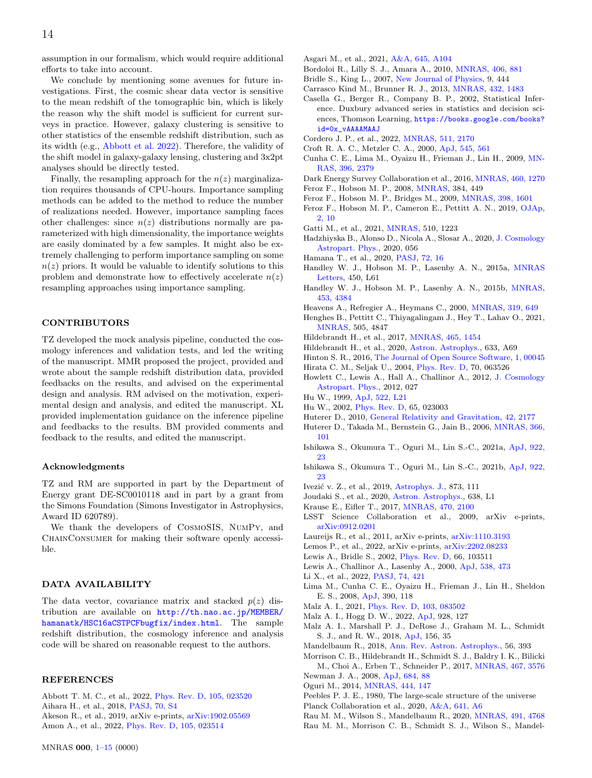assumption in our formalism, which would require additional efforts to take into account.

We conclude by mentioning some avenues for future investigations. First, the cosmic shear data vector is sensitive to the mean redshift of the tomographic bin, which is likely the reason why the shift model is sufficient for current surveys in practice. However, galaxy clustering is sensitive to other statistics of the ensemble redshift distribution, such as its width (e.g., [Abbott et al.](#page-13-42) [2022\)](#page-13-42). Therefore, the validity of the shift model in galaxy-galaxy lensing, clustering and 3x2pt analyses should be directly tested.

Finally, the resampling approach for the  $n(z)$  marginalization requires thousands of CPU-hours. Importance sampling methods can be added to the method to reduce the number of realizations needed. However, importance sampling faces other challenges: since  $n(z)$  distributions normally are parameterized with high dimensionality, the importance weights are easily dominated by a few samples. It might also be extremely challenging to perform importance sampling on some  $n(z)$  priors. It would be valuable to identify solutions to this problem and demonstrate how to effectively accelerate  $n(z)$ resampling approaches using importance sampling.

# CONTRIBUTORS

TZ developed the mock analysis pipeline, conducted the cosmology inferences and validation tests, and led the writing of the manuscript. MMR proposed the project, provided and wrote about the sample redshift distribution data, provided feedbacks on the results, and advised on the experimental design and analysis. RM advised on the motivation, experimental design and analysis, and edited the manuscript. XL provided implementation guidance on the inference pipeline and feedbacks to the results. BM provided comments and feedback to the results, and edited the manuscript.

#### Acknowledgments

TZ and RM are supported in part by the Department of Energy grant DE-SC0010118 and in part by a grant from the Simons Foundation (Simons Investigator in Astrophysics, Award ID 620789).

We thank the developers of CosmoSIS, NumPy, and ChainConsumer for making their software openly accessible.

# DATA AVAILABILITY

The data vector, covariance matrix and stacked  $p(z)$  distribution are available on [http://th.nao.ac.jp/MEMBER/](http://th.nao.ac.jp/MEMBER/hamanatk/HSC16aCSTPCFbugfix/index.html) [hamanatk/HSC16aCSTPCFbugfix/index.html](http://th.nao.ac.jp/MEMBER/hamanatk/HSC16aCSTPCFbugfix/index.html). The sample redshift distribution, the cosmology inference and analysis code will be shared on reasonable request to the authors.

# **REFERENCES**

<span id="page-13-42"></span><span id="page-13-11"></span><span id="page-13-5"></span><span id="page-13-1"></span>Abbott T. M. C., et al., 2022, [Phys. Rev. D,](http://dx.doi.org/10.1103/PhysRevD.105.023520) [105, 023520](https://ui.adsabs.harvard.edu/abs/2022PhRvD.105b3520A) Aihara H., et al., 2018, [PASJ,](http://dx.doi.org/10.1093/pasj/psx066) [70, S4](https://ui.adsabs.harvard.edu/abs/2018PASJ...70S...4A) Akeson R., et al., 2019, arXiv e-prints, [arXiv:1902.05569](https://ui.adsabs.harvard.edu/abs/2019arXiv190205569A) Amon A., et al., 2022, [Phys. Rev. D,](http://dx.doi.org/10.1103/PhysRevD.105.023514) [105, 023514](https://ui.adsabs.harvard.edu/abs/2022PhRvD.105b3514A)

- <span id="page-13-10"></span>Asgari M., et al., 2021, [A&A,](http://dx.doi.org/10.1051/0004-6361/202039070) [645, A104](https://ui.adsabs.harvard.edu/abs/2021A&A...645A.104A)
- <span id="page-13-54"></span>Bordoloi R., Lilly S. J., Amara A., 2010, [MNRAS,](http://dx.doi.org/10.1111/j.1365-2966.2010.16765.x) [406, 881](https://ui.adsabs.harvard.edu/abs/2010MNRAS.406..881B)
- <span id="page-13-47"></span>Bridle S., King L., 2007, [New Journal of Physics,](http://dx.doi.org/10.1088/1367-2630/9/12/444) 9, 444
- <span id="page-13-41"></span>Carrasco Kind M., Brunner R. J., 2013, [MNRAS,](http://dx.doi.org/10.1093/mnras/stt574) [432, 1483](https://ui.adsabs.harvard.edu/abs/2013MNRAS.432.1483C)
- <span id="page-13-52"></span>Casella G., Berger R., Company B. P., 2002, Statistical Inference. Duxbury advanced series in statistics and decision sciences, Thomson Learning, [https://books.google.com/books?](https://books.google.com/books?id=0x_vAAAAMAAJ) [id=0x\\_vAAAAMAAJ](https://books.google.com/books?id=0x_vAAAAMAAJ)
- <span id="page-13-27"></span>Cordero J. P., et al., 2022, [MNRAS,](http://dx.doi.org/10.1093/mnras/stac147) [511, 2170](https://ui.adsabs.harvard.edu/abs/2022MNRAS.511.2170C)
- <span id="page-13-30"></span>Croft R. A. C., Metzler C. A., 2000, [ApJ,](http://dx.doi.org/10.1086/317856) [545, 561](https://ui.adsabs.harvard.edu/abs/2000ApJ...545..561C)
- <span id="page-13-16"></span>Cunha C. E., Lima M., Oyaizu H., Frieman J., Lin H., 2009, [MN-](http://dx.doi.org/10.1111/j.1365-2966.2009.14908.x)[RAS,](http://dx.doi.org/10.1111/j.1365-2966.2009.14908.x) [396, 2379](https://ui.adsabs.harvard.edu/abs/2009MNRAS.396.2379C)
- <span id="page-13-0"></span>Dark Energy Survey Collaboration et al., 2016, [MNRAS,](http://dx.doi.org/10.1093/mnras/stw641) [460, 1270](https://ui.adsabs.harvard.edu/abs/2016MNRAS.460.1270D)
- <span id="page-13-32"></span>Feroz F., Hobson M. P., 2008, [MNRAS,](http://dx.doi.org/10.1111/j.1365-2966.2007.12353.x) 384, 449
- <span id="page-13-33"></span>Feroz F., Hobson M. P., Bridges M., 2009, [MNRAS,](http://dx.doi.org/10.1111/j.1365-2966.2009.14548.x) [398, 1601](https://ui.adsabs.harvard.edu/abs/2009MNRAS.398.1601F)
- <span id="page-13-34"></span>Feroz F., Hobson M. P., Cameron E., Pettitt A. N., 2019, [OJAp,](http://dx.doi.org/10.21105/astro.1306.2144) [2, 10](https://ui.adsabs.harvard.edu/abs/2019OJAp....2E..10F)
- <span id="page-13-40"></span>Gatti M., et al., 2021, [MNRAS,](http://dx.doi.org/10.1093/mnras/stab3311) 510, 1223
- <span id="page-13-26"></span>Hadzhiyska B., Alonso D., Nicola A., Slosar A., 2020, [J. Cosmology](http://dx.doi.org/10.1088/1475-7516/2020/10/056) [Astropart. Phys.,](http://dx.doi.org/10.1088/1475-7516/2020/10/056) 2020, 056
- <span id="page-13-9"></span>Hamana T., et al., 2020, [PASJ,](http://dx.doi.org/10.1093/pasj/psz138) [72, 16](https://ui.adsabs.harvard.edu/abs/2020PASJ...72...16H)
- <span id="page-13-50"></span>Handley W. J., Hobson M. P., Lasenby A. N., 2015a, [MNRAS](http://dx.doi.org/10.1093/mnrasl/slv047) [Letters,](http://dx.doi.org/10.1093/mnrasl/slv047) 450, L61
- <span id="page-13-51"></span>Handley W. J., Hobson M. P., Lasenby A. N., 2015b, [MNRAS,](http://dx.doi.org/10.1093/mnras/stv1911) [453, 4384](https://ui.adsabs.harvard.edu/abs/2015MNRAS.453.4384H)
- <span id="page-13-31"></span>Heavens A., Refregier A., Heymans C., 2000, [MNRAS,](http://dx.doi.org/10.1046/j.1365-8711.2000.03907.x) [319, 649](https://ui.adsabs.harvard.edu/abs/2000MNRAS.319..649H)
- <span id="page-13-21"></span>Henghes B., Pettitt C., Thiyagalingam J., Hey T., Lahav O., 2021, [MNRAS,](http://dx.doi.org/10.1093/mnras/stab1513) 505, 4847
- <span id="page-13-25"></span>Hildebrandt H., et al., 2017, [MNRAS,](http://dx.doi.org/10.1093/mnras/stw2805) [465, 1454](https://ui.adsabs.harvard.edu/abs/2017MNRAS.465.1454H)
- <span id="page-13-13"></span>Hildebrandt H., et al., 2020, [Astron. Astrophys.,](http://dx.doi.org/10.1051/0004-6361/201834878) 633, A69
- <span id="page-13-53"></span>Hinton S. R., 2016, [The Journal of Open Source Software,](http://dx.doi.org/10.21105/joss.00045) [1, 00045](http://adsabs.harvard.edu/abs/2016JOSS....1...45H)
- <span id="page-13-46"></span>Hirata C. M., Seljak U., 2004, [Phys. Rev. D,](http://dx.doi.org/10.1103/PhysRevD.70.063526) 70, 063526
- <span id="page-13-45"></span>Howlett C., Lewis A., Hall A., Challinor A., 2012, [J. Cosmology](http://dx.doi.org/10.1088/1475-7516/2012/04/027) [Astropart. Phys.,](http://dx.doi.org/10.1088/1475-7516/2012/04/027) 2012, 027
- <span id="page-13-12"></span>Hu W., 1999, [ApJ,](http://dx.doi.org/10.1086/312210) [522, L21](https://ui.adsabs.harvard.edu/abs/1999ApJ...522L..21H)
- <span id="page-13-7"></span>Hu W., 2002, [Phys. Rev. D,](http://dx.doi.org/10.1103/PhysRevD.65.023003) 65, 023003
- <span id="page-13-8"></span>Huterer D., 2010, [General Relativity and Gravitation,](http://dx.doi.org/10.1007/s10714-010-1051-z) [42, 2177](https://ui.adsabs.harvard.edu/abs/2010GReGr..42.2177H)
- <span id="page-13-14"></span>Huterer D., Takada M., Bernstein G., Jain B., 2006, [MNRAS,](http://dx.doi.org/10.1111/j.1365-2966.2005.09782.x) [366,](https://ui.adsabs.harvard.edu/abs/2006MNRAS.366..101H) [101](https://ui.adsabs.harvard.edu/abs/2006MNRAS.366..101H)
- <span id="page-13-36"></span>Ishikawa S., Okumura T., Oguri M., Lin S.-C., 2021a, [ApJ,](http://dx.doi.org/10.3847/1538-4357/ac1f90) [922,](https://ui.adsabs.harvard.edu/abs/2021ApJ...922...23I) [23](https://ui.adsabs.harvard.edu/abs/2021ApJ...922...23I)
- <span id="page-13-39"></span>Ishikawa S., Okumura T., Oguri M., Lin S.-C., 2021b, [ApJ,](http://dx.doi.org/10.3847/1538-4357/ac1f90) [922,](https://ui.adsabs.harvard.edu/abs/2021ApJ...922...23I) [23](https://ui.adsabs.harvard.edu/abs/2021ApJ...922...23I)
- <span id="page-13-3"></span>Ivezić v. Z., et al., 2019, [Astrophys. J.,](http://dx.doi.org/10.3847/1538-4357/ab042c) 873, 111
- <span id="page-13-24"></span>Joudaki S., et al., 2020, [Astron. Astrophys.,](http://dx.doi.org/10.1051/0004-6361/201936154) 638, L1
- <span id="page-13-35"></span>Krause E., Eifler T., 2017, [MNRAS,](http://dx.doi.org/10.1093/mnras/stx1261) [470, 2100](https://ui.adsabs.harvard.edu/abs/2017MNRAS.470.2100K)
- <span id="page-13-4"></span>LSST Science Collaboration et al., 2009, arXiv e-prints, [arXiv:0912.0201](https://ui.adsabs.harvard.edu/abs/2009arXiv0912.0201L)
- <span id="page-13-6"></span>Laureijs R., et al., 2011, arXiv e-prints, [arXiv:1110.3193](https://ui.adsabs.harvard.edu/abs/2011arXiv1110.3193L)
- <span id="page-13-49"></span>Lemos P., et al., 2022, arXiv e-prints, [arXiv:2202.08233](https://ui.adsabs.harvard.edu/abs/2022arXiv220208233L)
- <span id="page-13-44"></span>Lewis A., Bridle S., 2002, [Phys. Rev. D,](http://dx.doi.org/10.1103/PhysRevD.66.103511) 66, 103511
- <span id="page-13-43"></span>Lewis A., Challinor A., Lasenby A., 2000, [ApJ,](http://dx.doi.org/10.1086/309179) [538, 473](https://ui.adsabs.harvard.edu/abs/2000ApJ...538..473L)
- <span id="page-13-28"></span>Li X., et al., 2022, [PASJ,](http://dx.doi.org/10.1093/pasj/psac006) [74, 421](https://ui.adsabs.harvard.edu/abs/2022PASJ...74..421L)
- <span id="page-13-19"></span>Lima M., Cunha C. E., Oyaizu H., Frieman J., Lin H., Sheldon E. S., 2008, [ApJ,](http://dx.doi.org/10.1111/j.1365-2966.2008.13510.x) 390, 118
- <span id="page-13-15"></span>Malz A. I., 2021, [Phys. Rev. D,](http://dx.doi.org/10.1103/PhysRevD.103.083502) [103, 083502](https://ui.adsabs.harvard.edu/abs/2021PhRvD.103h3502M)
- <span id="page-13-23"></span>Malz A. I., Hogg D. W., 2022, [ApJ,](http://dx.doi.org/10.3847/1538-4357/ac062f) 928, 127
- <span id="page-13-20"></span>Malz A. I., Marshall P. J., DeRose J., Graham M. L., Schmidt S. J., and R. W., 2018, [ApJ,](http://dx.doi.org/10.3847/1538-3881/aac6b5) 156, 35
- <span id="page-13-2"></span>Mandelbaum R., 2018, [Ann. Rev. Astron. Astrophys.,](http://dx.doi.org/10.1146/annurev-astro-081817-051928) 56, 393
- <span id="page-13-38"></span>Morrison C. B., Hildebrandt H., Schmidt S. J., Baldry I. K., Bilicki M., Choi A., Erben T., Schneider P., 2017, [MNRAS,](http://dx.doi.org/10.1093/mnras/stx342) [467, 3576](https://ui.adsabs.harvard.edu/abs/2017MNRAS.467.3576M)
- <span id="page-13-37"></span><span id="page-13-17"></span>Newman J. A., 2008, [ApJ,](http://dx.doi.org/10.1086/589982) [684, 88](https://ui.adsabs.harvard.edu/abs/2008ApJ...684...88N) Oguri M., 2014, [MNRAS,](http://dx.doi.org/10.1093/mnras/stu1446) [444, 147](https://ui.adsabs.harvard.edu/abs/2014MNRAS.444..147O)
- <span id="page-13-29"></span>Peebles P. J. E., 1980, The large-scale structure of the universe
- <span id="page-13-48"></span>Planck Collaboration et al., 2020, [A&A,](http://dx.doi.org/10.1051/0004-6361/201833910) [641, A6](https://ui.adsabs.harvard.edu/abs/2020A&A...641A...6P)
- <span id="page-13-18"></span>Rau M. M., Wilson S., Mandelbaum R., 2020, [MNRAS,](http://dx.doi.org/10.1093/mnras/stz3295) [491, 4768](https://ui.adsabs.harvard.edu/abs/2020MNRAS.491.4768R)
- <span id="page-13-22"></span>Rau M. M., Morrison C. B., Schmidt S. J., Wilson S., Mandel-